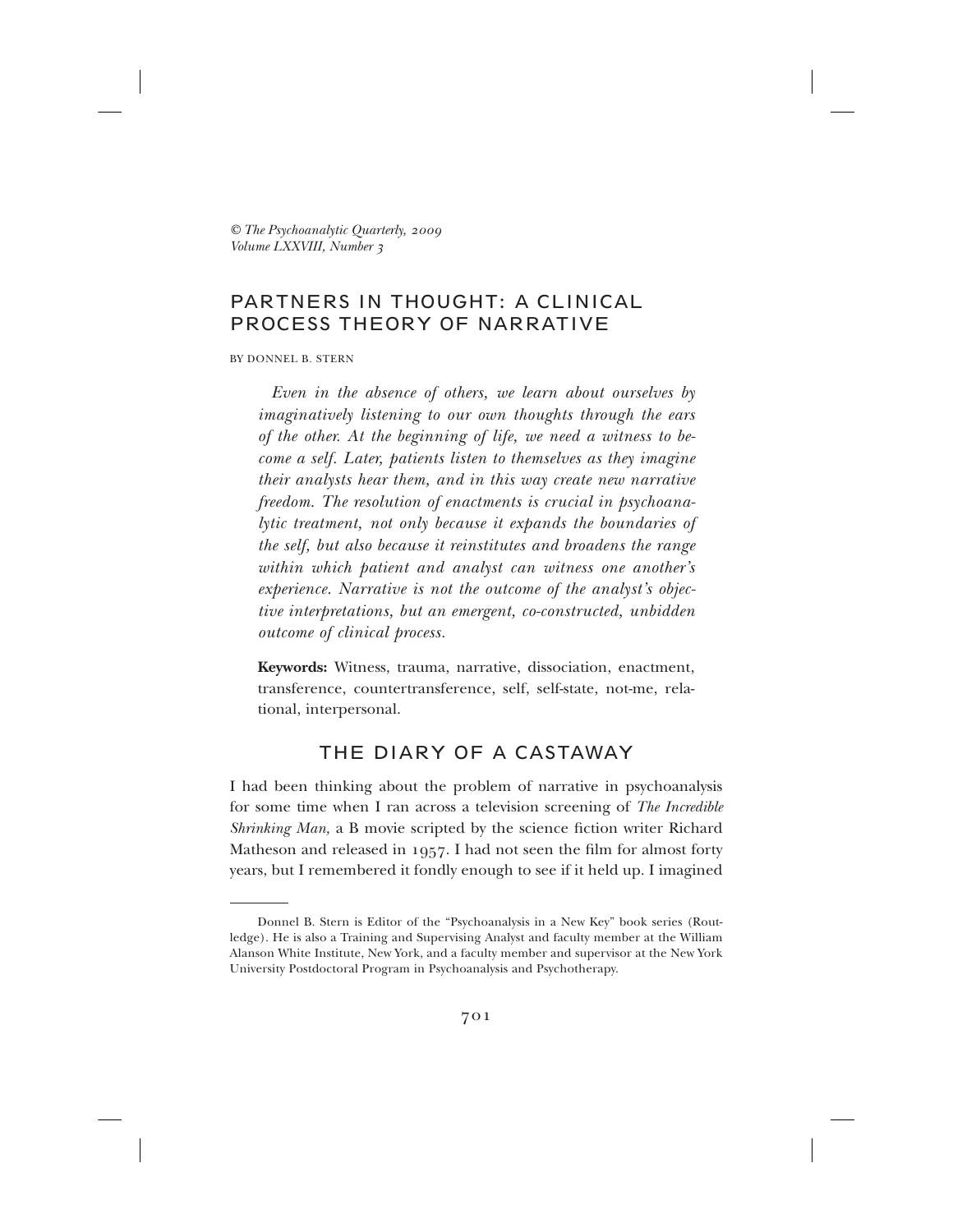*© The Psychoanalytic Quarterly, 2009 Volume LXXVIII, Number 3*

# PARTNERS IN THOUGHT: A CLINICAL PROCESS THEORY OF NARRATIVE

BY DONNEL B. STERN

*Even in the absence of others, we learn about ourselves by imaginatively listening to our own thoughts through the ears of the other. At the beginning of life, we need a witness to become a self. Later, patients listen to themselves as they imagine their analysts hear them, and in this way create new narrative freedom. The resolution of enactments is crucial in psychoanalytic treatment, not only because it expands the boundaries of the self, but also because it reinstitutes and broadens the range within which patient and analyst can witness one another's experience. Narrative is not the outcome of the analyst's objective interpretations, but an emergent, co-constructed, unbidden outcome of clinical process.*

**Keywords:** Witness, trauma, narrative, dissociation, enactment, transference, countertransference, self, self-state, not-me, relational, interpersonal.

# THE DIARY OF A CASTAWAY

I had been thinking about the problem of narrative in psychoanalysis for some time when I ran across a television screening of *The Incredible Shrinking Man,* a B movie scripted by the science fiction writer Richard Matheson and released in 1957. I had not seen the film for almost forty years, but I remembered it fondly enough to see if it held up. I imagined

Donnel B. Stern is Editor of the "Psychoanalysis in a New Key" book series (Routledge). He is also a Training and Supervising Analyst and faculty member at the William Alanson White Institute, New York, and a faculty member and supervisor at the New York University Postdoctoral Program in Psychoanalysis and Psychotherapy.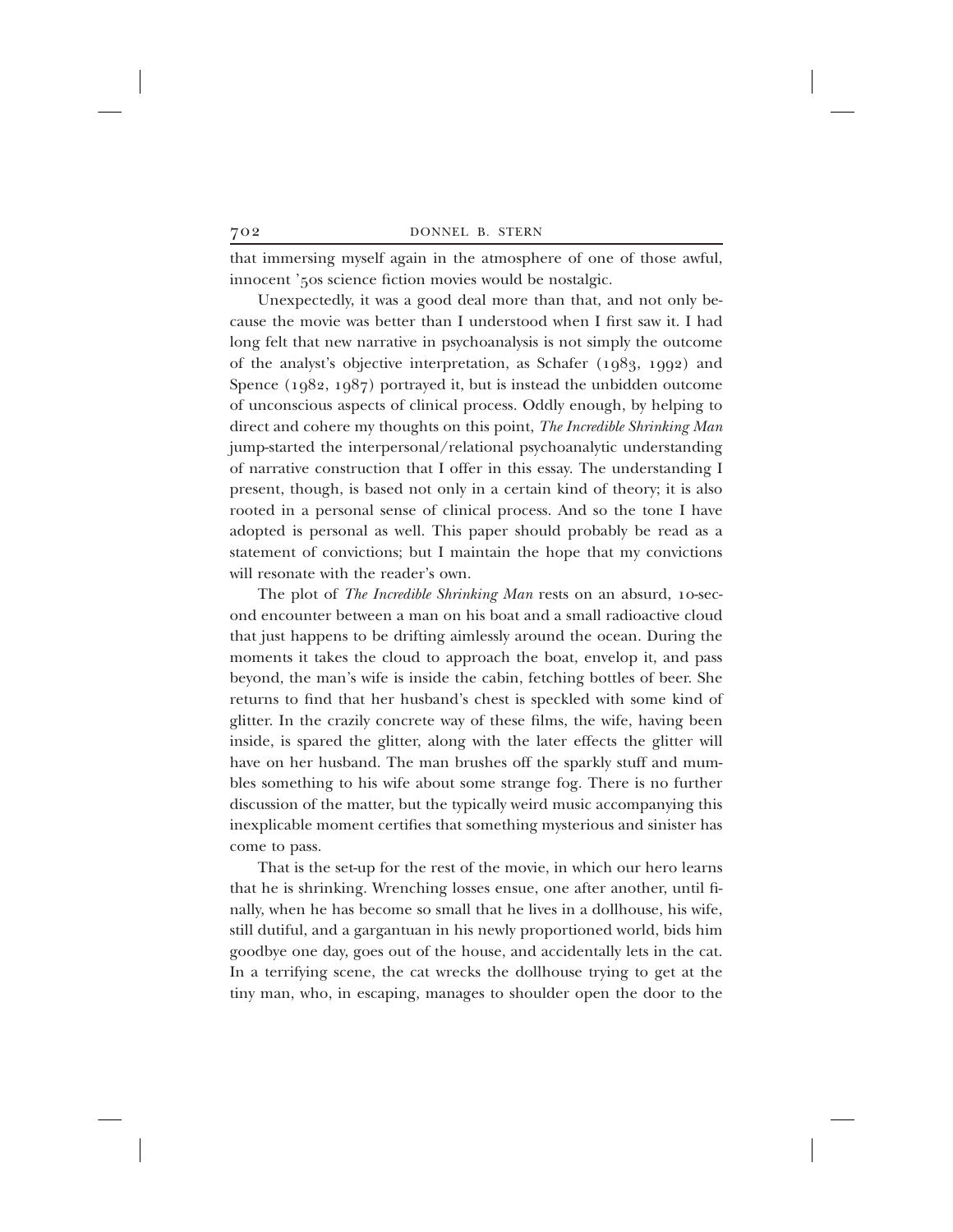that immersing myself again in the atmosphere of one of those awful, innocent '50s science fiction movies would be nostalgic.

Unexpectedly, it was a good deal more than that, and not only because the movie was better than I understood when I first saw it. I had long felt that new narrative in psychoanalysis is not simply the outcome of the analyst's objective interpretation, as Schafer (1983, 1992) and Spence (1982, 1987) portrayed it, but is instead the unbidden outcome of unconscious aspects of clinical process. Oddly enough, by helping to direct and cohere my thoughts on this point, *The Incredible Shrinking Man* jump-started the interpersonal/relational psychoanalytic understanding of narrative construction that I offer in this essay. The understanding I present, though, is based not only in a certain kind of theory; it is also rooted in a personal sense of clinical process. And so the tone I have adopted is personal as well. This paper should probably be read as a statement of convictions; but I maintain the hope that my convictions will resonate with the reader's own.

The plot of *The Incredible Shrinking Man* rests on an absurd, 10-second encounter between a man on his boat and a small radioactive cloud that just happens to be drifting aimlessly around the ocean. During the moments it takes the cloud to approach the boat, envelop it, and pass beyond, the man's wife is inside the cabin, fetching bottles of beer. She returns to find that her husband's chest is speckled with some kind of glitter. In the crazily concrete way of these films, the wife, having been inside, is spared the glitter, along with the later effects the glitter will have on her husband. The man brushes off the sparkly stuff and mumbles something to his wife about some strange fog. There is no further discussion of the matter, but the typically weird music accompanying this inexplicable moment certifies that something mysterious and sinister has come to pass.

That is the set-up for the rest of the movie, in which our hero learns that he is shrinking. Wrenching losses ensue, one after another, until finally, when he has become so small that he lives in a dollhouse, his wife, still dutiful, and a gargantuan in his newly proportioned world, bids him goodbye one day, goes out of the house, and accidentally lets in the cat. In a terrifying scene, the cat wrecks the dollhouse trying to get at the tiny man, who, in escaping, manages to shoulder open the door to the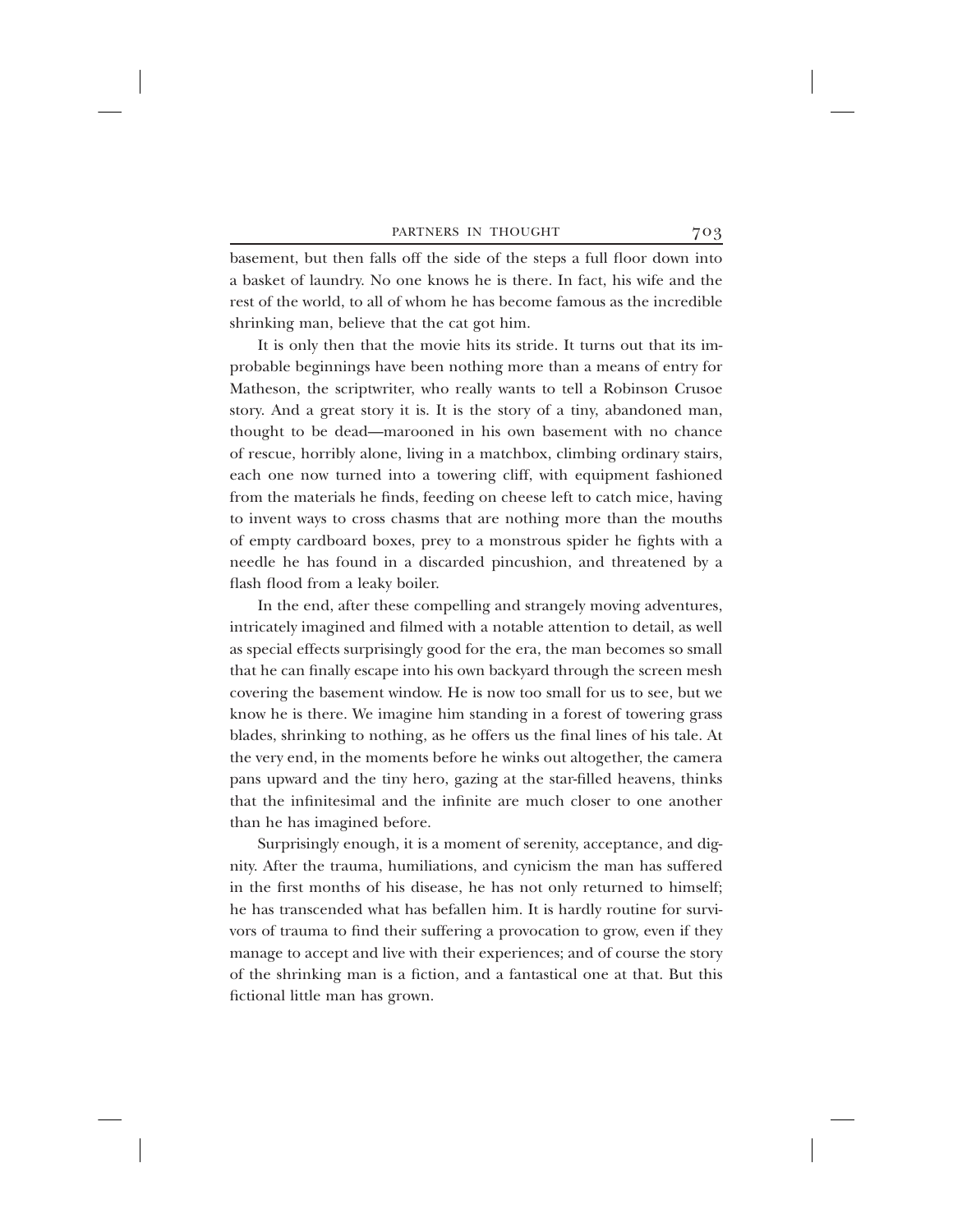basement, but then falls off the side of the steps a full floor down into a basket of laundry. No one knows he is there. In fact, his wife and the rest of the world, to all of whom he has become famous as the incredible shrinking man, believe that the cat got him.

It is only then that the movie hits its stride. It turns out that its improbable beginnings have been nothing more than a means of entry for Matheson, the scriptwriter, who really wants to tell a Robinson Crusoe story. And a great story it is. It is the story of a tiny, abandoned man, thought to be dead—marooned in his own basement with no chance of rescue, horribly alone, living in a matchbox, climbing ordinary stairs, each one now turned into a towering cliff, with equipment fashioned from the materials he finds, feeding on cheese left to catch mice, having to invent ways to cross chasms that are nothing more than the mouths of empty cardboard boxes, prey to a monstrous spider he fights with a needle he has found in a discarded pincushion, and threatened by a flash flood from a leaky boiler.

In the end, after these compelling and strangely moving adventures, intricately imagined and filmed with a notable attention to detail, as well as special effects surprisingly good for the era, the man becomes so small that he can finally escape into his own backyard through the screen mesh covering the basement window. He is now too small for us to see, but we know he is there. We imagine him standing in a forest of towering grass blades, shrinking to nothing, as he offers us the final lines of his tale. At the very end, in the moments before he winks out altogether, the camera pans upward and the tiny hero, gazing at the star-filled heavens, thinks that the infinitesimal and the infinite are much closer to one another than he has imagined before.

Surprisingly enough, it is a moment of serenity, acceptance, and dignity. After the trauma, humiliations, and cynicism the man has suffered in the first months of his disease, he has not only returned to himself; he has transcended what has befallen him. It is hardly routine for survivors of trauma to find their suffering a provocation to grow, even if they manage to accept and live with their experiences; and of course the story of the shrinking man is a fiction, and a fantastical one at that. But this fictional little man has grown.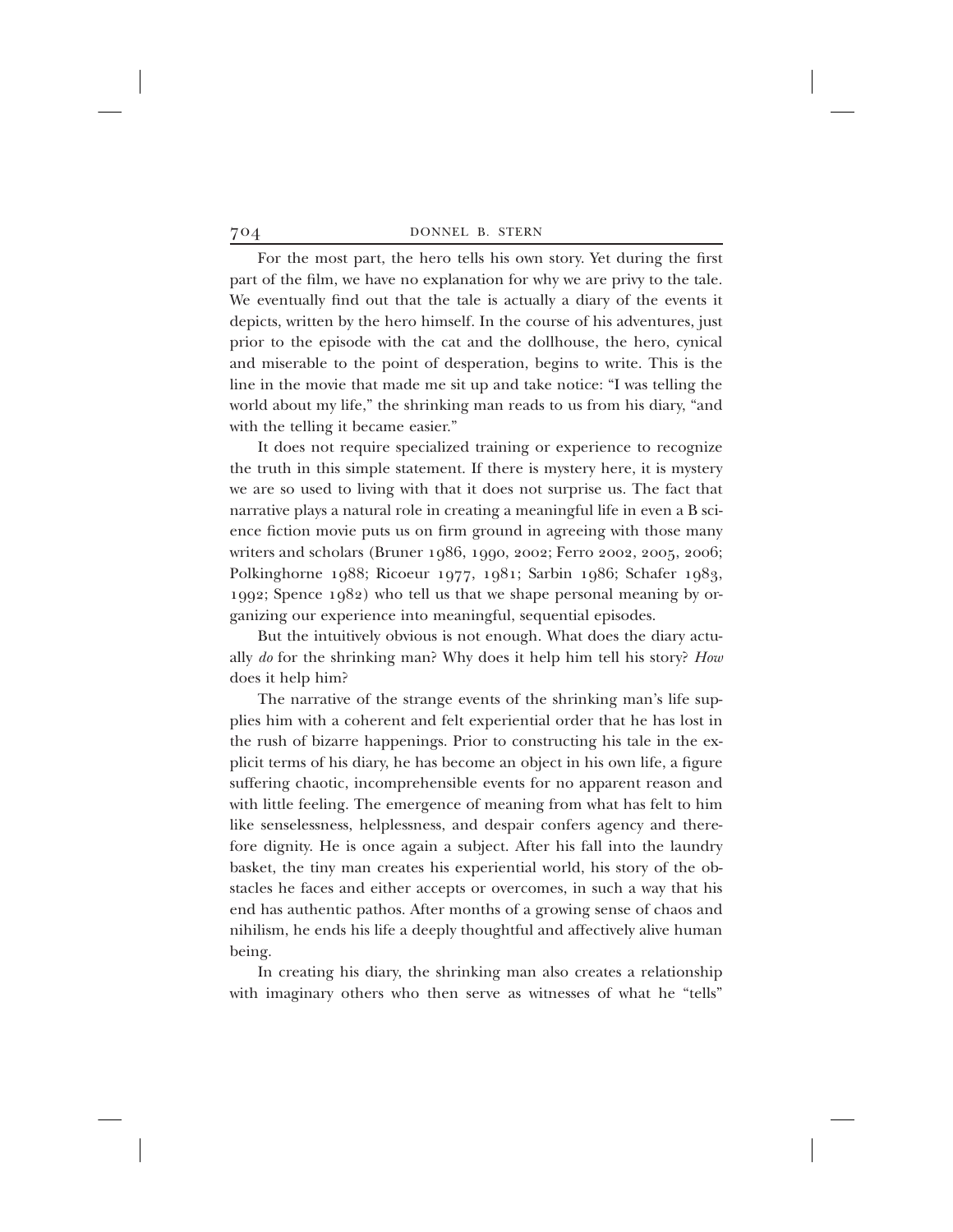For the most part, the hero tells his own story. Yet during the first part of the film, we have no explanation for why we are privy to the tale. We eventually find out that the tale is actually a diary of the events it depicts, written by the hero himself. In the course of his adventures, just prior to the episode with the cat and the dollhouse, the hero, cynical and miserable to the point of desperation, begins to write. This is the line in the movie that made me sit up and take notice: "I was telling the world about my life," the shrinking man reads to us from his diary, "and with the telling it became easier."

It does not require specialized training or experience to recognize the truth in this simple statement. If there is mystery here, it is mystery we are so used to living with that it does not surprise us. The fact that narrative plays a natural role in creating a meaningful life in even a B science fiction movie puts us on firm ground in agreeing with those many writers and scholars (Bruner 1986, 1990, 2002; Ferro 2002, 2005, 2006; Polkinghorne 1988; Ricoeur 1977, 1981; Sarbin 1986; Schafer 1983, 1992; Spence 1982) who tell us that we shape personal meaning by organizing our experience into meaningful, sequential episodes.

But the intuitively obvious is not enough. What does the diary actually *do* for the shrinking man? Why does it help him tell his story? *How* does it help him?

The narrative of the strange events of the shrinking man's life supplies him with a coherent and felt experiential order that he has lost in the rush of bizarre happenings. Prior to constructing his tale in the explicit terms of his diary, he has become an object in his own life, a figure suffering chaotic, incomprehensible events for no apparent reason and with little feeling. The emergence of meaning from what has felt to him like senselessness, helplessness, and despair confers agency and therefore dignity. He is once again a subject. After his fall into the laundry basket, the tiny man creates his experiential world, his story of the obstacles he faces and either accepts or overcomes, in such a way that his end has authentic pathos. After months of a growing sense of chaos and nihilism, he ends his life a deeply thoughtful and affectively alive human being.

In creating his diary, the shrinking man also creates a relationship with imaginary others who then serve as witnesses of what he "tells"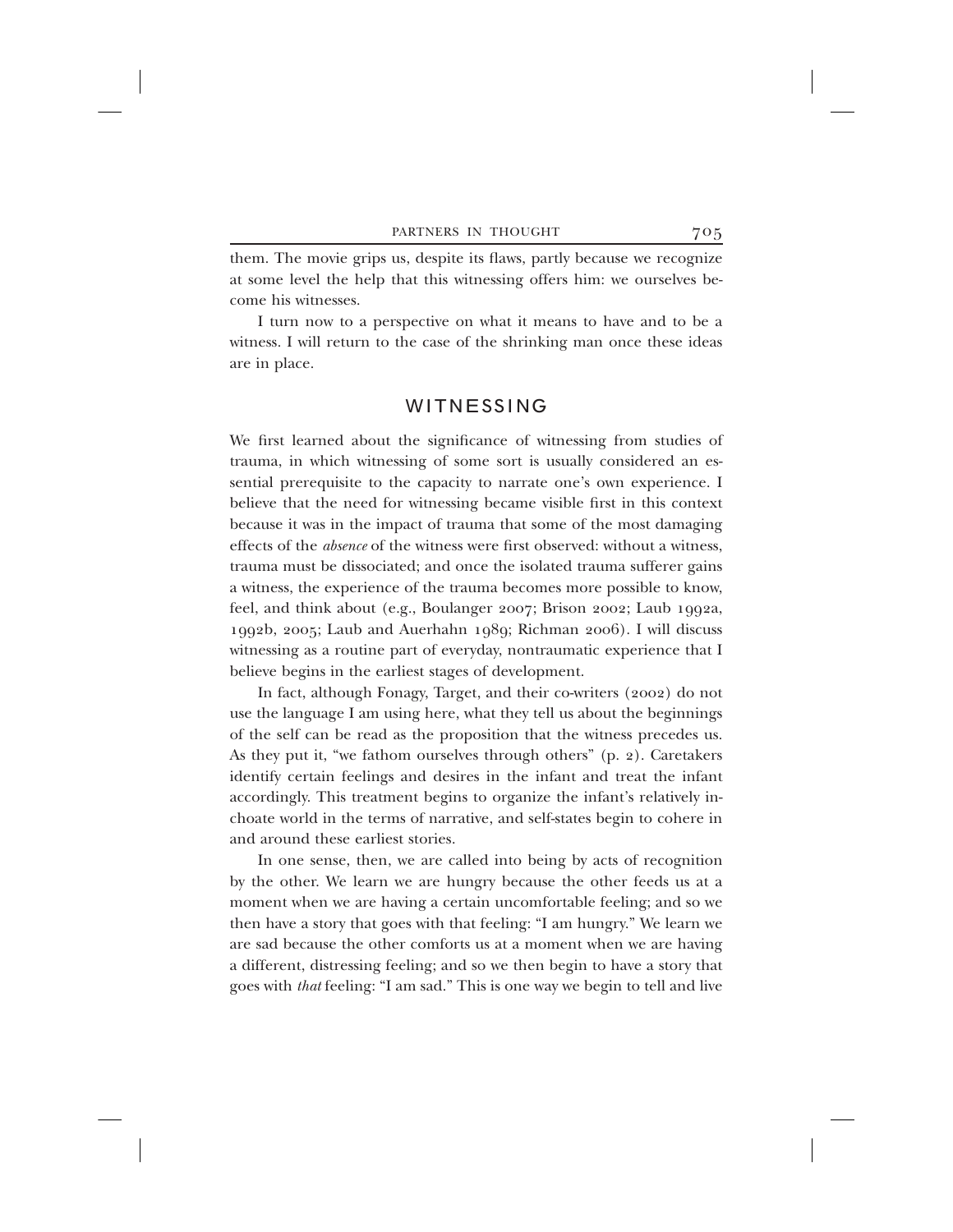them. The movie grips us, despite its flaws, partly because we recognize at some level the help that this witnessing offers him: we ourselves become his witnesses.

I turn now to a perspective on what it means to have and to be a witness. I will return to the case of the shrinking man once these ideas are in place.

#### WITNESSING

We first learned about the significance of witnessing from studies of trauma, in which witnessing of some sort is usually considered an essential prerequisite to the capacity to narrate one's own experience. I believe that the need for witnessing became visible first in this context because it was in the impact of trauma that some of the most damaging effects of the *absence* of the witness were first observed: without a witness, trauma must be dissociated; and once the isolated trauma sufferer gains a witness, the experience of the trauma becomes more possible to know, feel, and think about (e.g., Boulanger 2007; Brison 2002; Laub 1992a, 1992b, 2005; Laub and Auerhahn 1989; Richman 2006). I will discuss witnessing as a routine part of everyday, nontraumatic experience that I believe begins in the earliest stages of development.

In fact, although Fonagy, Target, and their co-writers (2002) do not use the language I am using here, what they tell us about the beginnings of the self can be read as the proposition that the witness precedes us. As they put it, "we fathom ourselves through others" (p. 2). Caretakers identify certain feelings and desires in the infant and treat the infant accordingly. This treatment begins to organize the infant's relatively inchoate world in the terms of narrative, and self-states begin to cohere in and around these earliest stories.

In one sense, then, we are called into being by acts of recognition by the other. We learn we are hungry because the other feeds us at a moment when we are having a certain uncomfortable feeling; and so we then have a story that goes with that feeling: "I am hungry." We learn we are sad because the other comforts us at a moment when we are having a different, distressing feeling; and so we then begin to have a story that goes with *that* feeling: "I am sad." This is one way we begin to tell and live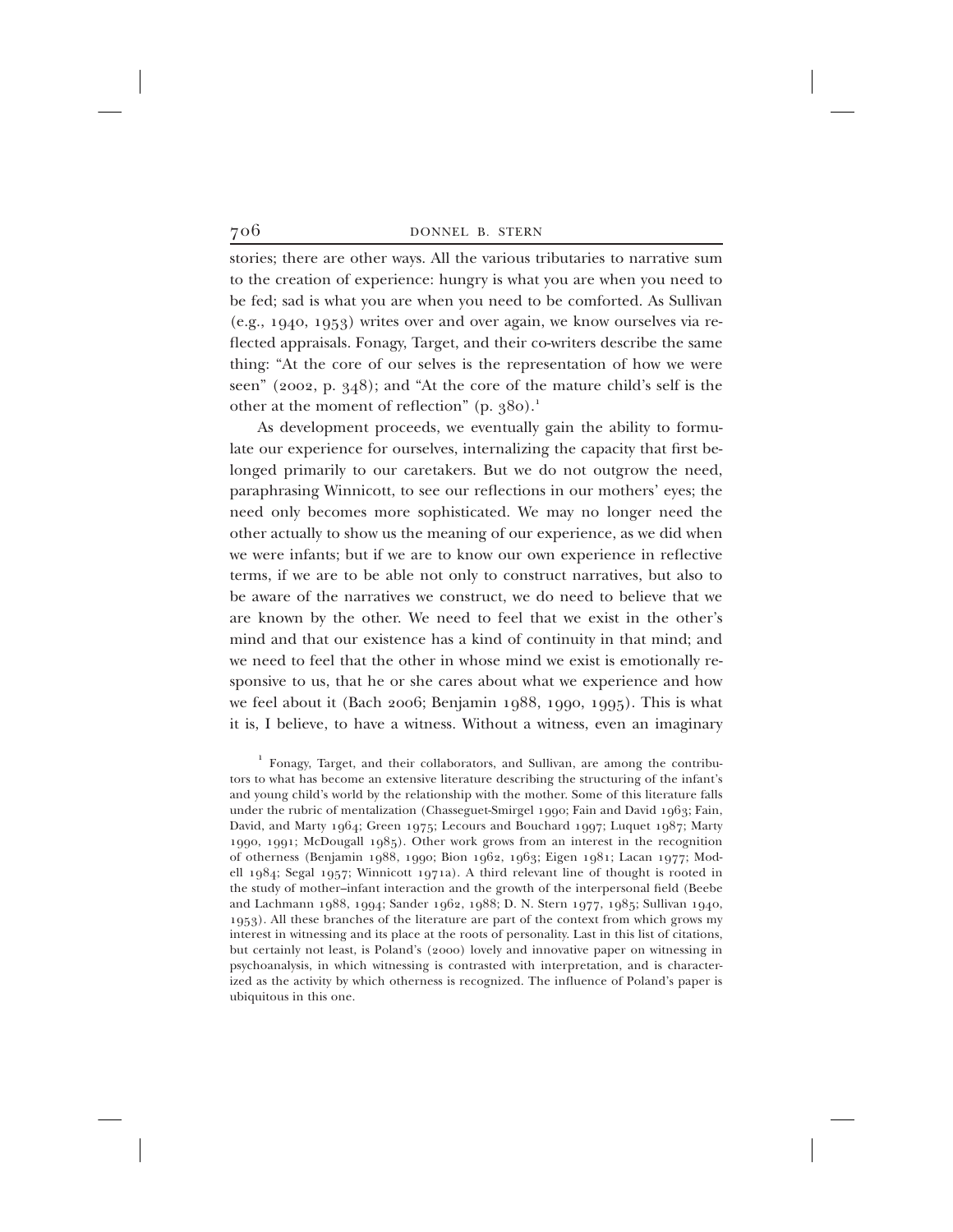stories; there are other ways. All the various tributaries to narrative sum to the creation of experience: hungry is what you are when you need to be fed; sad is what you are when you need to be comforted. As Sullivan (e.g., 1940, 1953) writes over and over again, we know ourselves via reflected appraisals. Fonagy, Target, and their co-writers describe the same thing: "At the core of our selves is the representation of how we were seen" (2002, p. 348); and "At the core of the mature child's self is the other at the moment of reflection" (p.  $380$ ).<sup>1</sup>

As development proceeds, we eventually gain the ability to formulate our experience for ourselves, internalizing the capacity that first belonged primarily to our caretakers. But we do not outgrow the need, paraphrasing Winnicott, to see our reflections in our mothers' eyes; the need only becomes more sophisticated. We may no longer need the other actually to show us the meaning of our experience, as we did when we were infants; but if we are to know our own experience in reflective terms, if we are to be able not only to construct narratives, but also to be aware of the narratives we construct, we do need to believe that we are known by the other. We need to feel that we exist in the other's mind and that our existence has a kind of continuity in that mind; and we need to feel that the other in whose mind we exist is emotionally responsive to us, that he or she cares about what we experience and how we feel about it (Bach 2006; Benjamin 1988, 1990, 1995). This is what it is, I believe, to have a witness. Without a witness, even an imaginary

1 Fonagy, Target, and their collaborators, and Sullivan, are among the contributors to what has become an extensive literature describing the structuring of the infant's and young child's world by the relationship with the mother. Some of this literature falls under the rubric of mentalization (Chasseguet-Smirgel 1990; Fain and David 1963; Fain, David, and Marty 1964; Green 1975; Lecours and Bouchard 1997; Luquet 1987; Marty 1990, 1991; McDougall 1985). Other work grows from an interest in the recognition of otherness (Benjamin 1988, 1990; Bion 1962, 1963; Eigen 1981; Lacan 1977; Modell 1984; Segal 1957; Winnicott 1971a). A third relevant line of thought is rooted in the study of mother–infant interaction and the growth of the interpersonal field (Beebe and Lachmann 1988, 1994; Sander 1962, 1988; D. N. Stern 1977, 1985; Sullivan 1940, 1953). All these branches of the literature are part of the context from which grows my interest in witnessing and its place at the roots of personality. Last in this list of citations, but certainly not least, is Poland's (2000) lovely and innovative paper on witnessing in psychoanalysis, in which witnessing is contrasted with interpretation, and is characterized as the activity by which otherness is recognized. The influence of Poland's paper is ubiquitous in this one.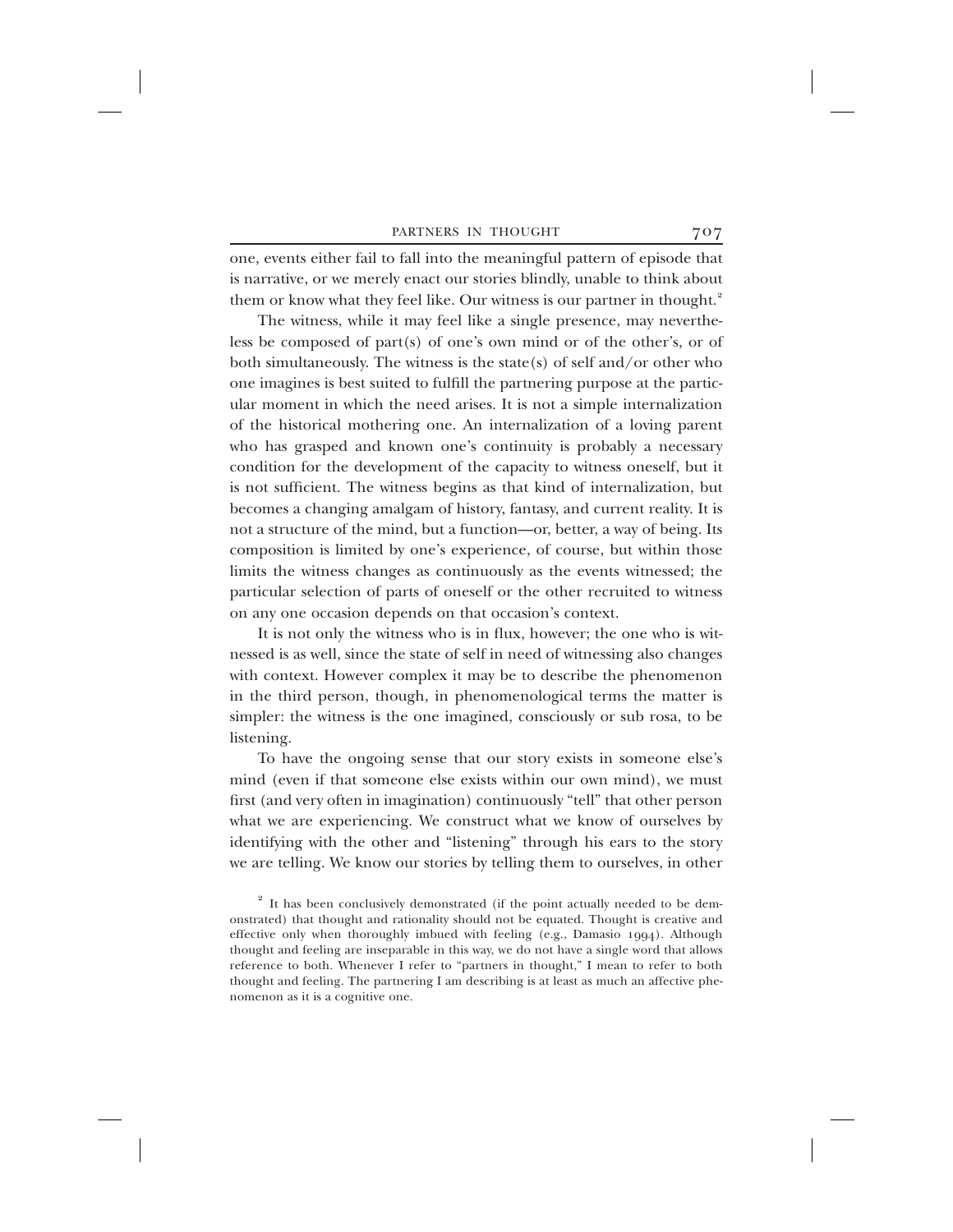one, events either fail to fall into the meaningful pattern of episode that is narrative, or we merely enact our stories blindly, unable to think about them or know what they feel like. Our witness is our partner in thought.<sup>2</sup>

The witness, while it may feel like a single presence, may nevertheless be composed of part(s) of one's own mind or of the other's, or of both simultaneously. The witness is the state(s) of self and/or other who one imagines is best suited to fulfill the partnering purpose at the particular moment in which the need arises. It is not a simple internalization of the historical mothering one. An internalization of a loving parent who has grasped and known one's continuity is probably a necessary condition for the development of the capacity to witness oneself, but it is not sufficient. The witness begins as that kind of internalization, but becomes a changing amalgam of history, fantasy, and current reality. It is not a structure of the mind, but a function—or, better, a way of being. Its composition is limited by one's experience, of course, but within those limits the witness changes as continuously as the events witnessed; the particular selection of parts of oneself or the other recruited to witness on any one occasion depends on that occasion's context.

It is not only the witness who is in flux, however; the one who is witnessed is as well, since the state of self in need of witnessing also changes with context. However complex it may be to describe the phenomenon in the third person, though, in phenomenological terms the matter is simpler: the witness is the one imagined, consciously or sub rosa, to be listening.

To have the ongoing sense that our story exists in someone else's mind (even if that someone else exists within our own mind), we must first (and very often in imagination) continuously "tell" that other person what we are experiencing. We construct what we know of ourselves by identifying with the other and "listening" through his ears to the story we are telling. We know our stories by telling them to ourselves, in other

<sup>&</sup>lt;sup>2</sup> It has been conclusively demonstrated (if the point actually needed to be demonstrated) that thought and rationality should not be equated. Thought is creative and effective only when thoroughly imbued with feeling (e.g., Damasio 1994). Although thought and feeling are inseparable in this way, we do not have a single word that allows reference to both. Whenever I refer to "partners in thought," I mean to refer to both thought and feeling. The partnering I am describing is at least as much an affective phenomenon as it is a cognitive one.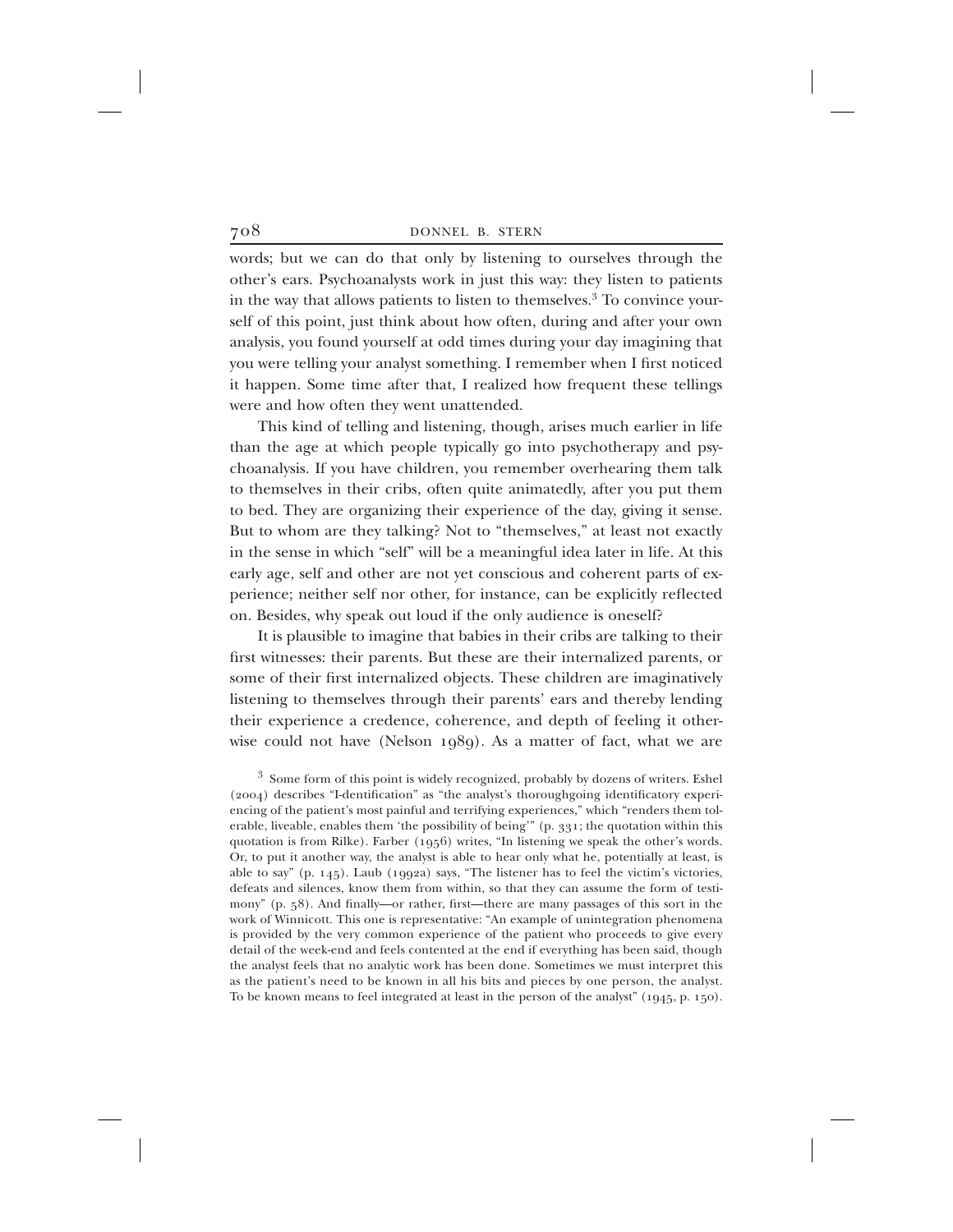words; but we can do that only by listening to ourselves through the other's ears. Psychoanalysts work in just this way: they listen to patients in the way that allows patients to listen to themselves.<sup>3</sup> To convince yourself of this point, just think about how often, during and after your own analysis, you found yourself at odd times during your day imagining that you were telling your analyst something. I remember when I first noticed it happen. Some time after that, I realized how frequent these tellings were and how often they went unattended.

This kind of telling and listening, though, arises much earlier in life than the age at which people typically go into psychotherapy and psychoanalysis. If you have children, you remember overhearing them talk to themselves in their cribs, often quite animatedly, after you put them to bed. They are organizing their experience of the day, giving it sense. But to whom are they talking? Not to "themselves," at least not exactly in the sense in which "self" will be a meaningful idea later in life. At this early age, self and other are not yet conscious and coherent parts of experience; neither self nor other, for instance, can be explicitly reflected on. Besides, why speak out loud if the only audience is oneself?

It is plausible to imagine that babies in their cribs are talking to their first witnesses: their parents. But these are their internalized parents, or some of their first internalized objects. These children are imaginatively listening to themselves through their parents' ears and thereby lending their experience a credence, coherence, and depth of feeling it otherwise could not have (Nelson 1989). As a matter of fact, what we are

3 Some form of this point is widely recognized, probably by dozens of writers. Eshel (2004) describes "I-dentification" as "the analyst's thoroughgoing identificatory experiencing of the patient's most painful and terrifying experiences," which "renders them tolerable, liveable, enables them 'the possibility of being'" (p. 331; the quotation within this quotation is from Rilke). Farber (1956) writes, "In listening we speak the other's words. Or, to put it another way, the analyst is able to hear only what he, potentially at least, is able to say" (p. 145). Laub (1992a) says, "The listener has to feel the victim's victories, defeats and silences, know them from within, so that they can assume the form of testimony" (p. 58). And finally—or rather, first—there are many passages of this sort in the work of Winnicott. This one is representative: "An example of unintegration phenomena is provided by the very common experience of the patient who proceeds to give every detail of the week-end and feels contented at the end if everything has been said, though the analyst feels that no analytic work has been done. Sometimes we must interpret this as the patient's need to be known in all his bits and pieces by one person, the analyst. To be known means to feel integrated at least in the person of the analyst" (1945, p. 150).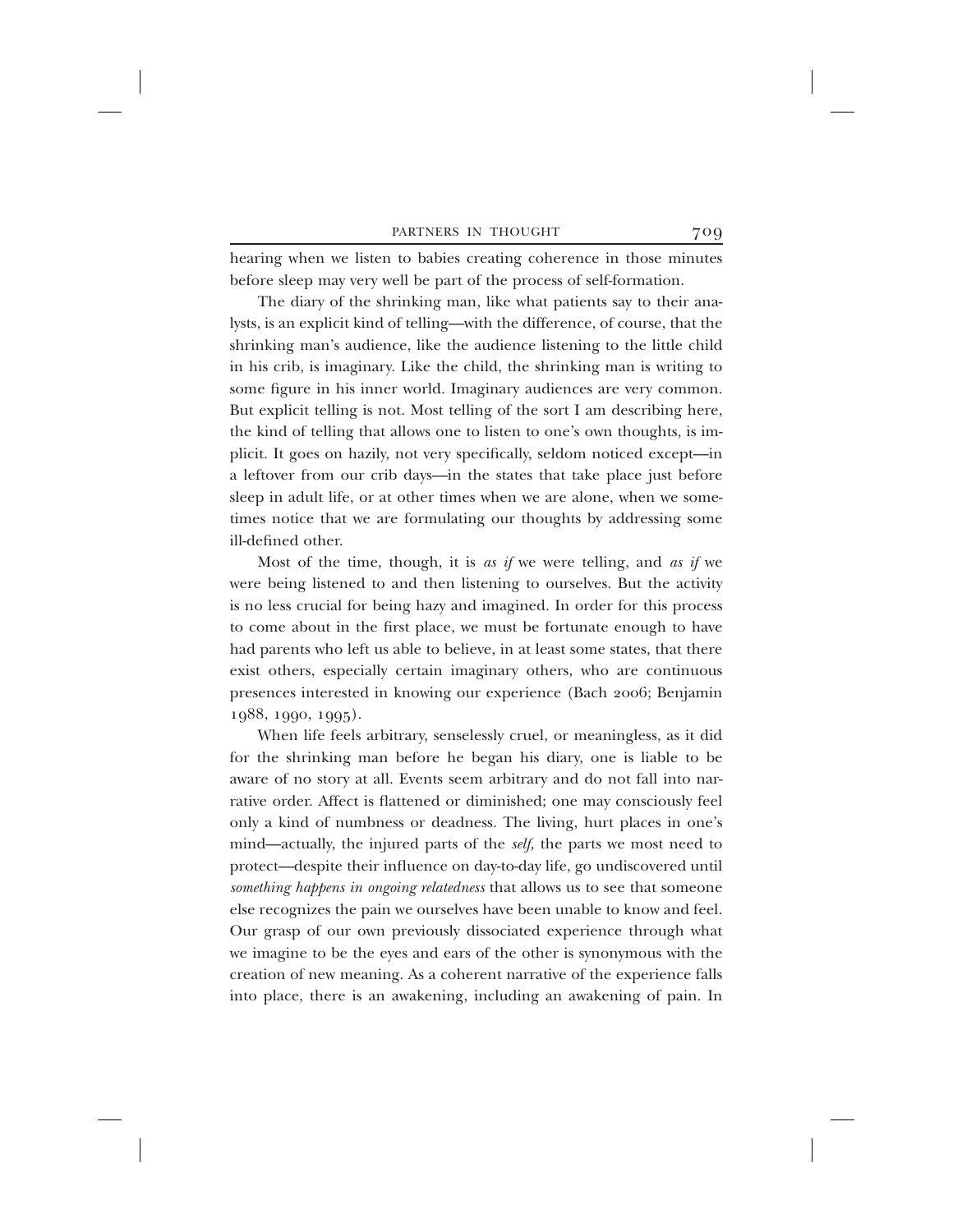hearing when we listen to babies creating coherence in those minutes before sleep may very well be part of the process of self-formation.

The diary of the shrinking man, like what patients say to their analysts, is an explicit kind of telling—with the difference, of course, that the shrinking man's audience, like the audience listening to the little child in his crib, is imaginary. Like the child, the shrinking man is writing to some figure in his inner world. Imaginary audiences are very common. But explicit telling is not. Most telling of the sort I am describing here, the kind of telling that allows one to listen to one's own thoughts, is implicit. It goes on hazily, not very specifically, seldom noticed except—in a leftover from our crib days—in the states that take place just before sleep in adult life, or at other times when we are alone, when we sometimes notice that we are formulating our thoughts by addressing some ill-defined other.

Most of the time, though, it is *as if* we were telling, and *as if* we were being listened to and then listening to ourselves. But the activity is no less crucial for being hazy and imagined. In order for this process to come about in the first place, we must be fortunate enough to have had parents who left us able to believe, in at least some states, that there exist others, especially certain imaginary others, who are continuous presences interested in knowing our experience (Bach 2006; Benjamin 1988, 1990, 1995).

When life feels arbitrary, senselessly cruel, or meaningless, as it did for the shrinking man before he began his diary, one is liable to be aware of no story at all. Events seem arbitrary and do not fall into narrative order. Affect is flattened or diminished; one may consciously feel only a kind of numbness or deadness. The living, hurt places in one's mind—actually, the injured parts of the *self,* the parts we most need to protect—despite their influence on day-to-day life, go undiscovered until *something happens in ongoing relatedness* that allows us to see that someone else recognizes the pain we ourselves have been unable to know and feel. Our grasp of our own previously dissociated experience through what we imagine to be the eyes and ears of the other is synonymous with the creation of new meaning. As a coherent narrative of the experience falls into place, there is an awakening, including an awakening of pain. In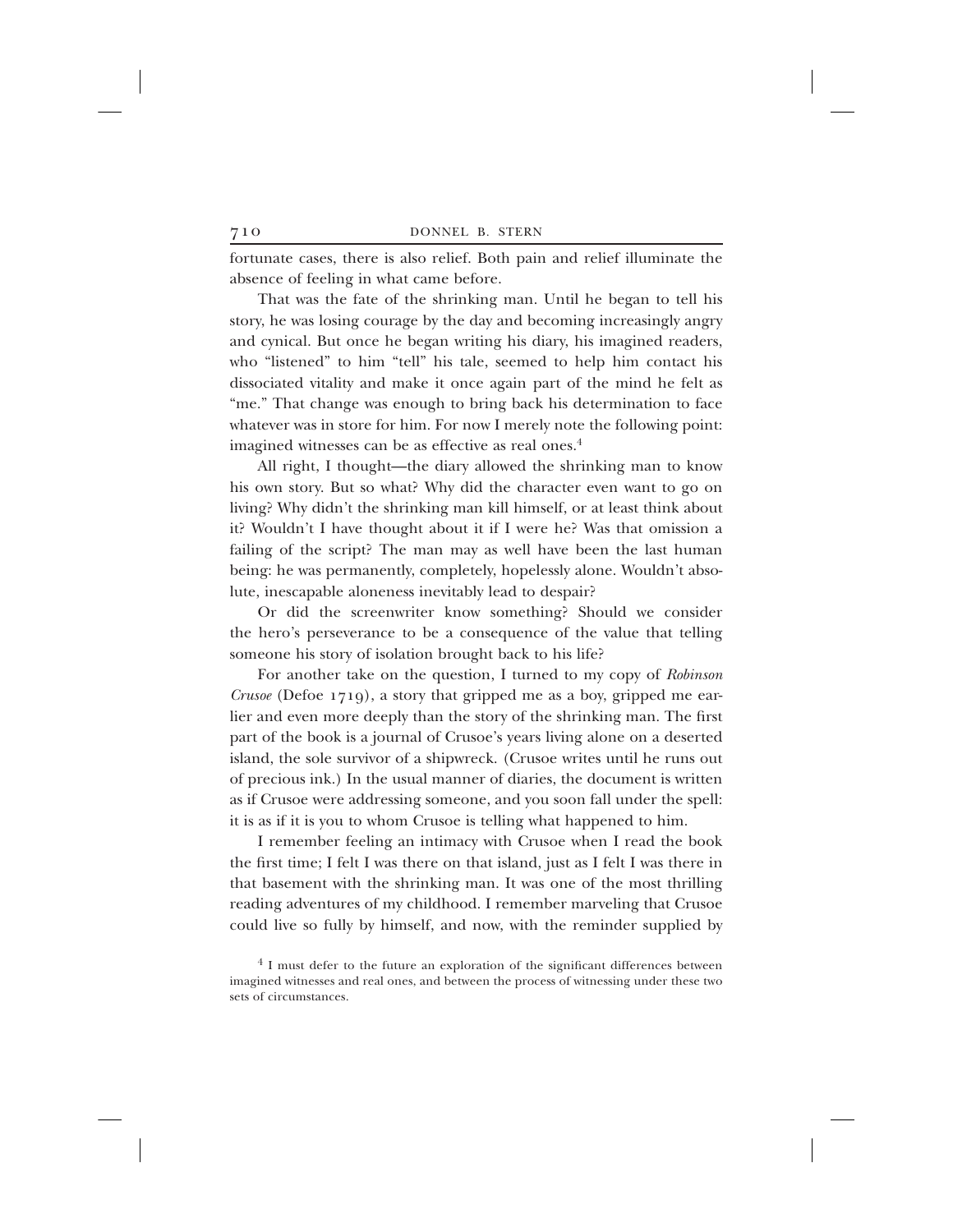fortunate cases, there is also relief. Both pain and relief illuminate the absence of feeling in what came before.

That was the fate of the shrinking man. Until he began to tell his story, he was losing courage by the day and becoming increasingly angry and cynical. But once he began writing his diary, his imagined readers, who "listened" to him "tell" his tale, seemed to help him contact his dissociated vitality and make it once again part of the mind he felt as "me." That change was enough to bring back his determination to face whatever was in store for him. For now I merely note the following point: imagined witnesses can be as effective as real ones.<sup>4</sup>

All right, I thought—the diary allowed the shrinking man to know his own story. But so what? Why did the character even want to go on living? Why didn't the shrinking man kill himself, or at least think about it? Wouldn't I have thought about it if I were he? Was that omission a failing of the script? The man may as well have been the last human being: he was permanently, completely, hopelessly alone. Wouldn't absolute, inescapable aloneness inevitably lead to despair?

Or did the screenwriter know something? Should we consider the hero's perseverance to be a consequence of the value that telling someone his story of isolation brought back to his life?

For another take on the question, I turned to my copy of *Robinson Crusoe* (Defoe 1719), a story that gripped me as a boy, gripped me earlier and even more deeply than the story of the shrinking man. The first part of the book is a journal of Crusoe's years living alone on a deserted island, the sole survivor of a shipwreck. (Crusoe writes until he runs out of precious ink.) In the usual manner of diaries, the document is written as if Crusoe were addressing someone, and you soon fall under the spell: it is as if it is you to whom Crusoe is telling what happened to him.

I remember feeling an intimacy with Crusoe when I read the book the first time; I felt I was there on that island, just as I felt I was there in that basement with the shrinking man. It was one of the most thrilling reading adventures of my childhood. I remember marveling that Crusoe could live so fully by himself, and now, with the reminder supplied by

<sup>&</sup>lt;sup>4</sup> I must defer to the future an exploration of the significant differences between imagined witnesses and real ones, and between the process of witnessing under these two sets of circumstances.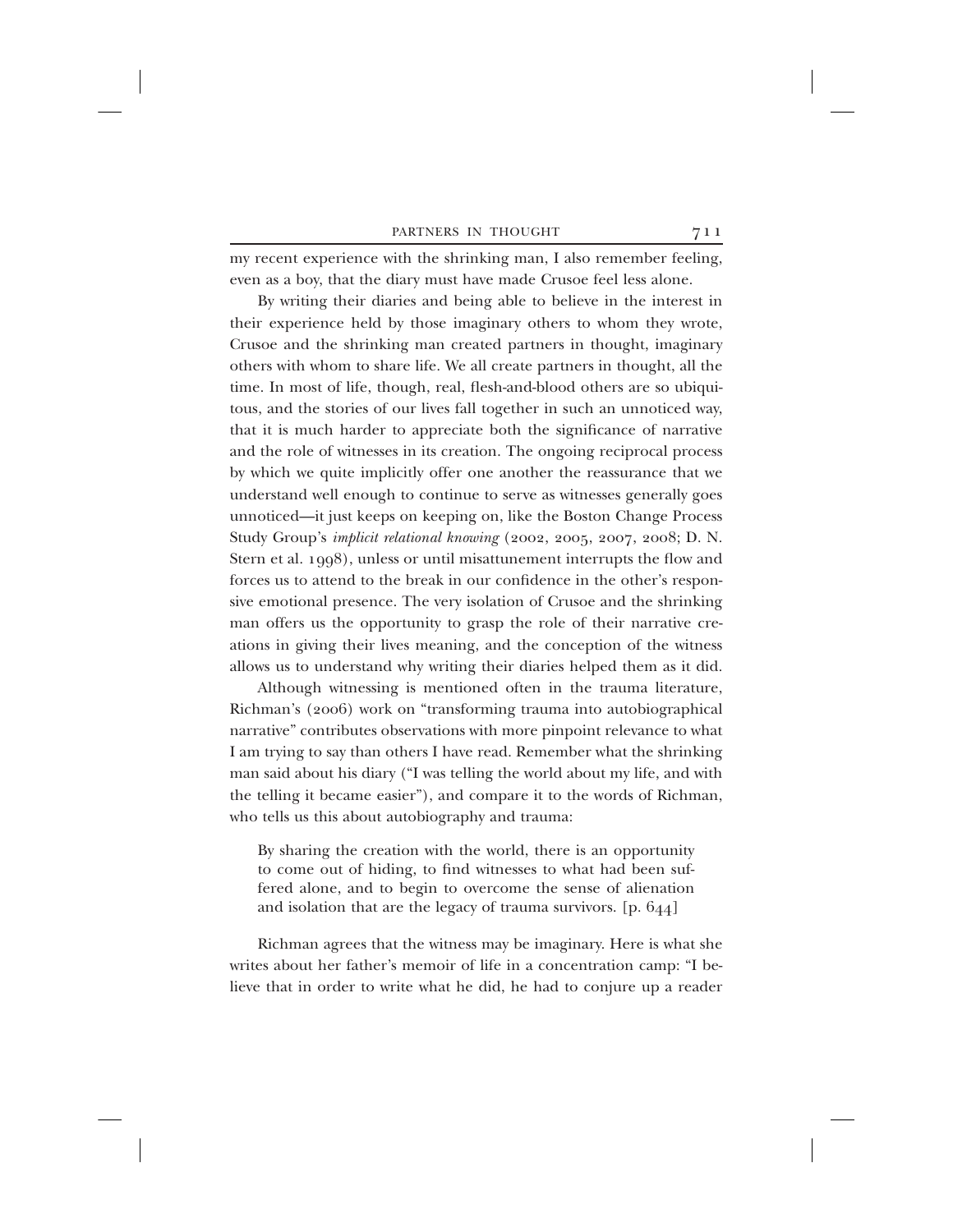my recent experience with the shrinking man, I also remember feeling, even as a boy, that the diary must have made Crusoe feel less alone.

By writing their diaries and being able to believe in the interest in their experience held by those imaginary others to whom they wrote, Crusoe and the shrinking man created partners in thought, imaginary others with whom to share life. We all create partners in thought, all the time. In most of life, though, real, flesh-and-blood others are so ubiquitous, and the stories of our lives fall together in such an unnoticed way, that it is much harder to appreciate both the significance of narrative and the role of witnesses in its creation. The ongoing reciprocal process by which we quite implicitly offer one another the reassurance that we understand well enough to continue to serve as witnesses generally goes unnoticed—it just keeps on keeping on, like the Boston Change Process Study Group's *implicit relational knowing* (2002, 2005, 2007, 2008; D. N. Stern et al. 1998), unless or until misattunement interrupts the flow and forces us to attend to the break in our confidence in the other's responsive emotional presence. The very isolation of Crusoe and the shrinking man offers us the opportunity to grasp the role of their narrative creations in giving their lives meaning, and the conception of the witness allows us to understand why writing their diaries helped them as it did.

Although witnessing is mentioned often in the trauma literature, Richman's (2006) work on "transforming trauma into autobiographical narrative" contributes observations with more pinpoint relevance to what I am trying to say than others I have read. Remember what the shrinking man said about his diary ("I was telling the world about my life, and with the telling it became easier"), and compare it to the words of Richman, who tells us this about autobiography and trauma:

By sharing the creation with the world, there is an opportunity to come out of hiding, to find witnesses to what had been suffered alone, and to begin to overcome the sense of alienation and isolation that are the legacy of trauma survivors. [p. 644]

Richman agrees that the witness may be imaginary. Here is what she writes about her father's memoir of life in a concentration camp: "I believe that in order to write what he did, he had to conjure up a reader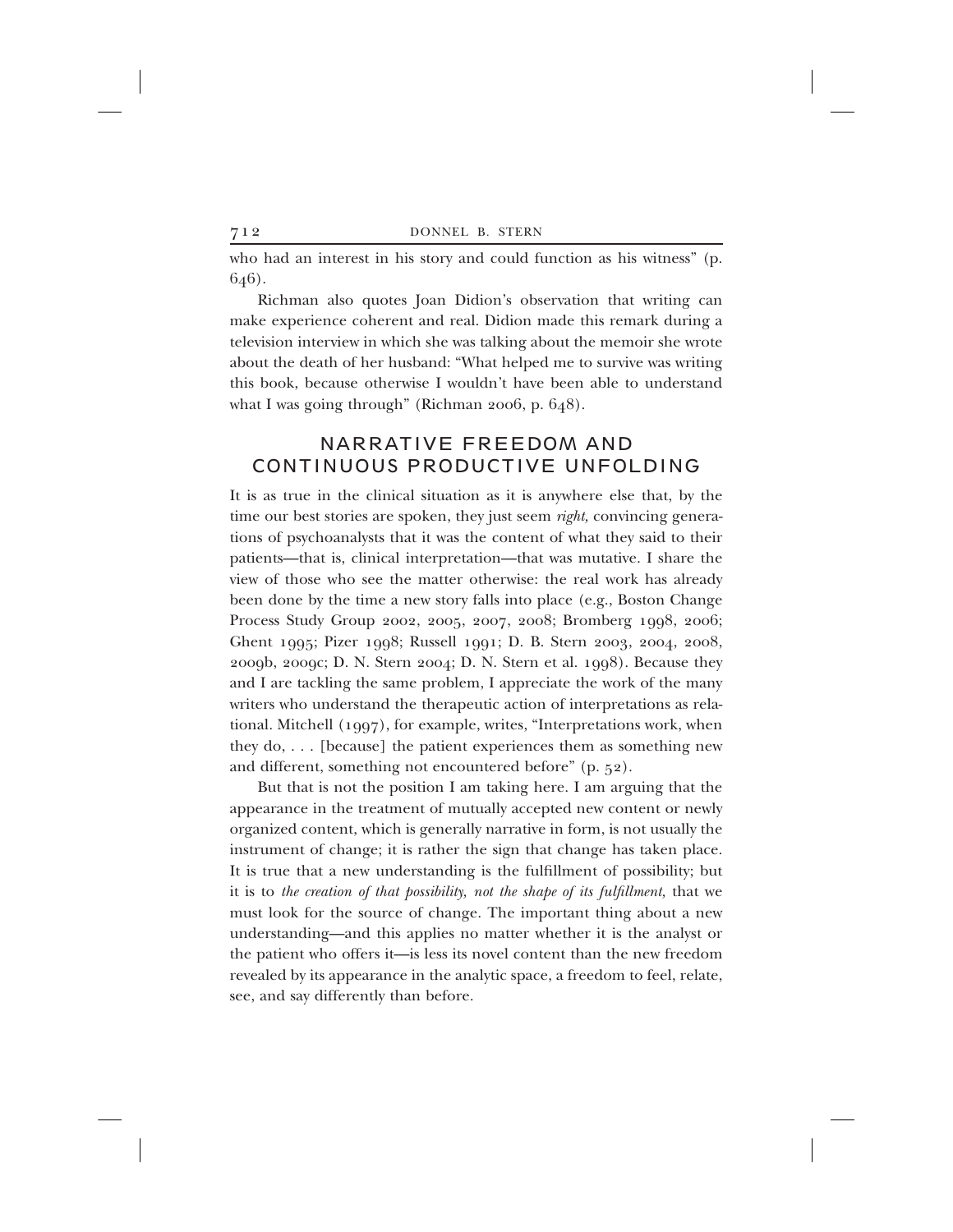who had an interest in his story and could function as his witness" (p. 646).

Richman also quotes Joan Didion's observation that writing can make experience coherent and real. Didion made this remark during a television interview in which she was talking about the memoir she wrote about the death of her husband: "What helped me to survive was writing this book, because otherwise I wouldn't have been able to understand what I was going through" (Richman 2006, p. 648).

# NARRATIVE FREEDOM AND CONTINUOUS PRODUCTIVE UNFOLDING

It is as true in the clinical situation as it is anywhere else that, by the time our best stories are spoken, they just seem *right,* convincing generations of psychoanalysts that it was the content of what they said to their patients—that is, clinical interpretation—that was mutative. I share the view of those who see the matter otherwise: the real work has already been done by the time a new story falls into place (e.g., Boston Change Process Study Group 2002, 2005, 2007, 2008; Bromberg 1998, 2006; Ghent 1995; Pizer 1998; Russell 1991; D. B. Stern 2003, 2004, 2008, 2009b, 2009c; D. N. Stern 2004; D. N. Stern et al. 1998). Because they and I are tackling the same problem, I appreciate the work of the many writers who understand the therapeutic action of interpretations as relational. Mitchell (1997), for example, writes, "Interpretations work, when they do, . . . [because] the patient experiences them as something new and different, something not encountered before" (p. 52).

But that is not the position I am taking here. I am arguing that the appearance in the treatment of mutually accepted new content or newly organized content, which is generally narrative in form, is not usually the instrument of change; it is rather the sign that change has taken place. It is true that a new understanding is the fulfillment of possibility; but it is to *the creation of that possibility, not the shape of its fulfillment,* that we must look for the source of change. The important thing about a new understanding—and this applies no matter whether it is the analyst or the patient who offers it—is less its novel content than the new freedom revealed by its appearance in the analytic space, a freedom to feel, relate, see, and say differently than before.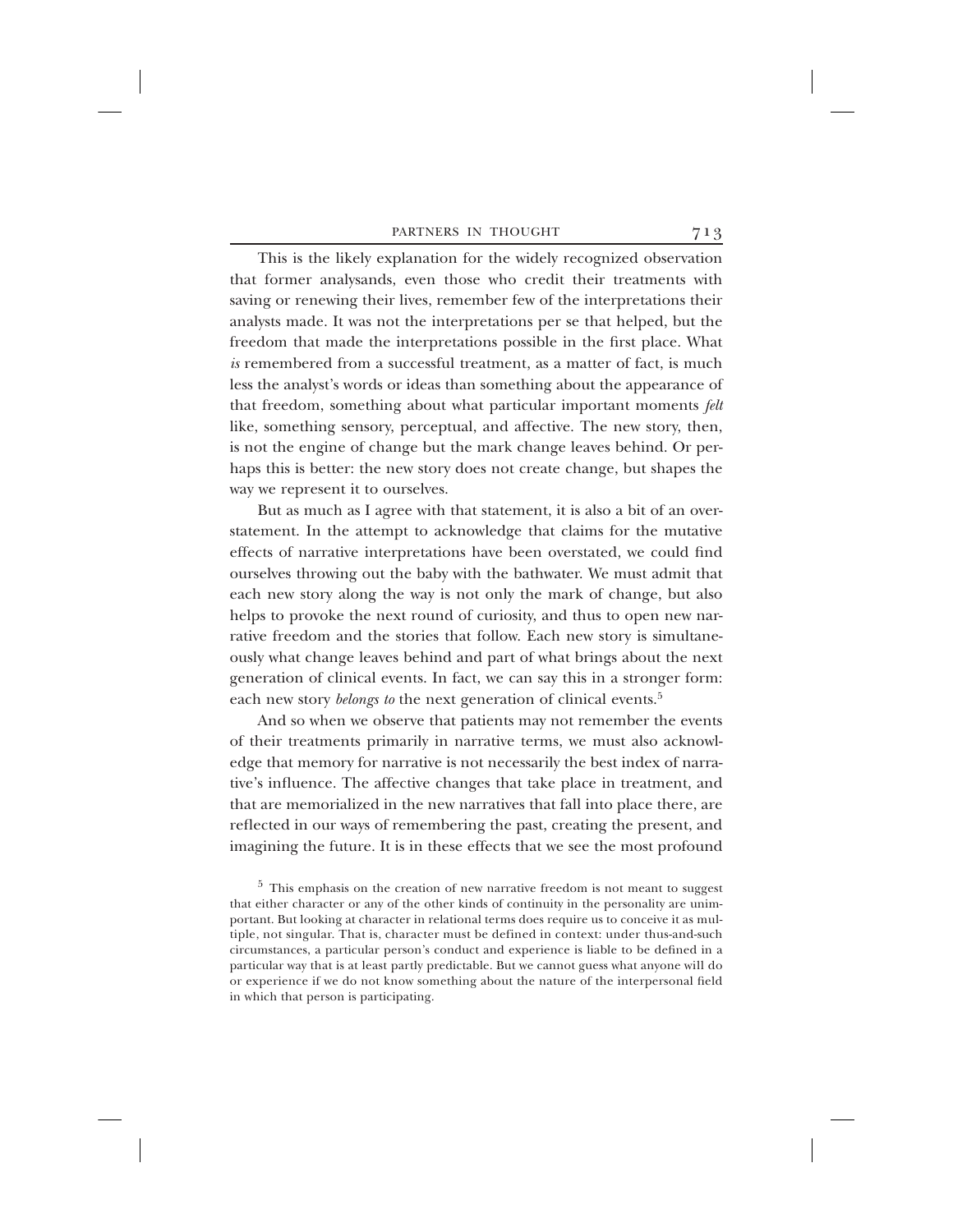This is the likely explanation for the widely recognized observation that former analysands, even those who credit their treatments with saving or renewing their lives, remember few of the interpretations their analysts made. It was not the interpretations per se that helped, but the freedom that made the interpretations possible in the first place. What *is* remembered from a successful treatment, as a matter of fact, is much less the analyst's words or ideas than something about the appearance of that freedom, something about what particular important moments *felt* like, something sensory, perceptual, and affective. The new story, then, is not the engine of change but the mark change leaves behind. Or perhaps this is better: the new story does not create change, but shapes the way we represent it to ourselves.

But as much as I agree with that statement, it is also a bit of an overstatement. In the attempt to acknowledge that claims for the mutative effects of narrative interpretations have been overstated, we could find ourselves throwing out the baby with the bathwater. We must admit that each new story along the way is not only the mark of change, but also helps to provoke the next round of curiosity, and thus to open new narrative freedom and the stories that follow. Each new story is simultaneously what change leaves behind and part of what brings about the next generation of clinical events. In fact, we can say this in a stronger form: each new story *belongs to* the next generation of clinical events.<sup>5</sup>

And so when we observe that patients may not remember the events of their treatments primarily in narrative terms, we must also acknowledge that memory for narrative is not necessarily the best index of narrative's influence. The affective changes that take place in treatment, and that are memorialized in the new narratives that fall into place there, are reflected in our ways of remembering the past, creating the present, and imagining the future. It is in these effects that we see the most profound

<sup>5</sup> This emphasis on the creation of new narrative freedom is not meant to suggest that either character or any of the other kinds of continuity in the personality are unimportant. But looking at character in relational terms does require us to conceive it as multiple, not singular. That is, character must be defined in context: under thus-and-such circumstances, a particular person's conduct and experience is liable to be defined in a particular way that is at least partly predictable. But we cannot guess what anyone will do or experience if we do not know something about the nature of the interpersonal field in which that person is participating.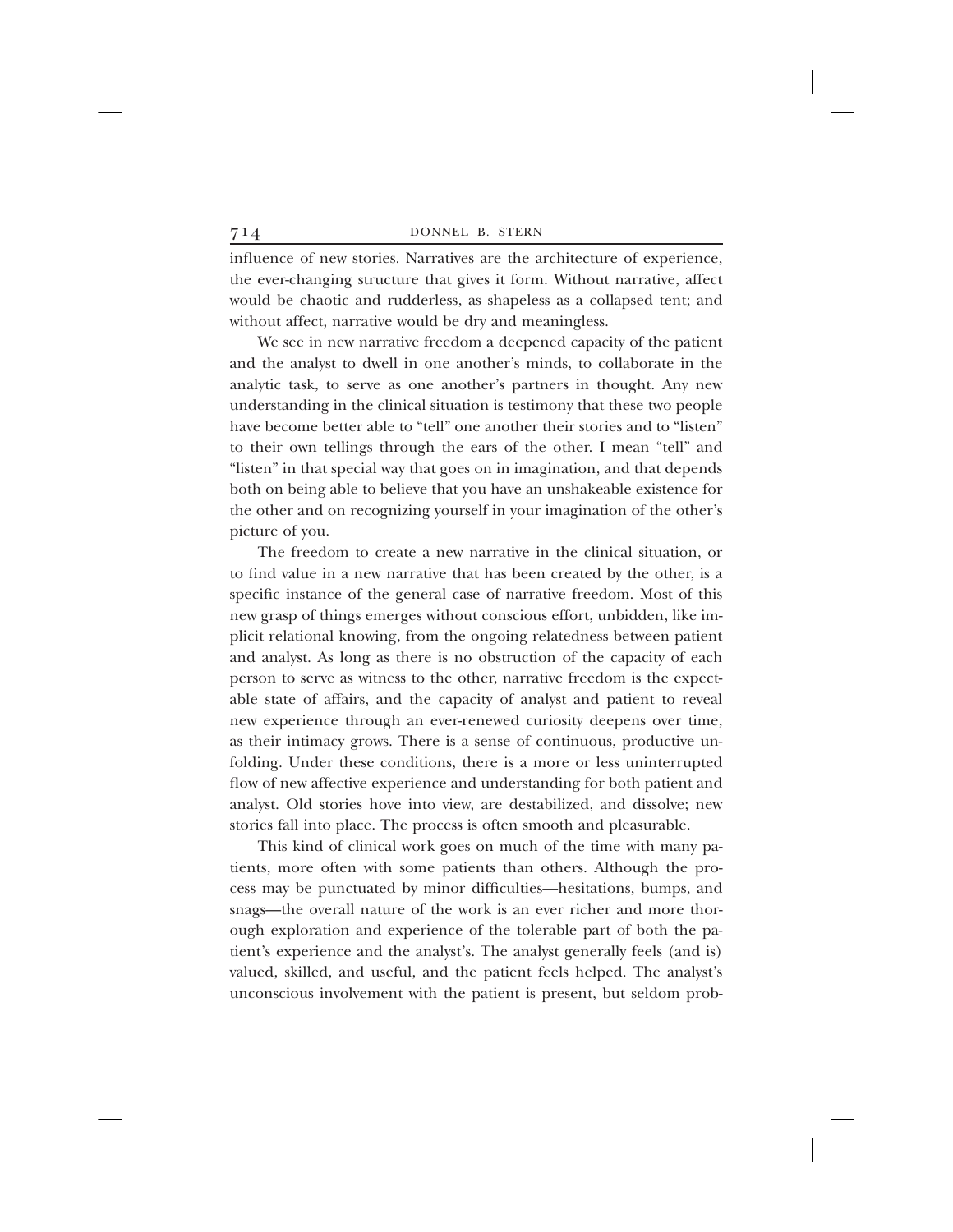influence of new stories. Narratives are the architecture of experience, the ever-changing structure that gives it form. Without narrative, affect would be chaotic and rudderless, as shapeless as a collapsed tent; and without affect, narrative would be dry and meaningless.

We see in new narrative freedom a deepened capacity of the patient and the analyst to dwell in one another's minds, to collaborate in the analytic task, to serve as one another's partners in thought. Any new understanding in the clinical situation is testimony that these two people have become better able to "tell" one another their stories and to "listen" to their own tellings through the ears of the other. I mean "tell" and "listen" in that special way that goes on in imagination, and that depends both on being able to believe that you have an unshakeable existence for the other and on recognizing yourself in your imagination of the other's picture of you.

The freedom to create a new narrative in the clinical situation, or to find value in a new narrative that has been created by the other, is a specific instance of the general case of narrative freedom. Most of this new grasp of things emerges without conscious effort, unbidden, like implicit relational knowing, from the ongoing relatedness between patient and analyst. As long as there is no obstruction of the capacity of each person to serve as witness to the other, narrative freedom is the expectable state of affairs, and the capacity of analyst and patient to reveal new experience through an ever-renewed curiosity deepens over time, as their intimacy grows. There is a sense of continuous, productive unfolding. Under these conditions, there is a more or less uninterrupted flow of new affective experience and understanding for both patient and analyst. Old stories hove into view, are destabilized, and dissolve; new stories fall into place. The process is often smooth and pleasurable.

This kind of clinical work goes on much of the time with many patients, more often with some patients than others. Although the process may be punctuated by minor difficulties—hesitations, bumps, and snags—the overall nature of the work is an ever richer and more thorough exploration and experience of the tolerable part of both the patient's experience and the analyst's. The analyst generally feels (and is) valued, skilled, and useful, and the patient feels helped. The analyst's unconscious involvement with the patient is present, but seldom prob-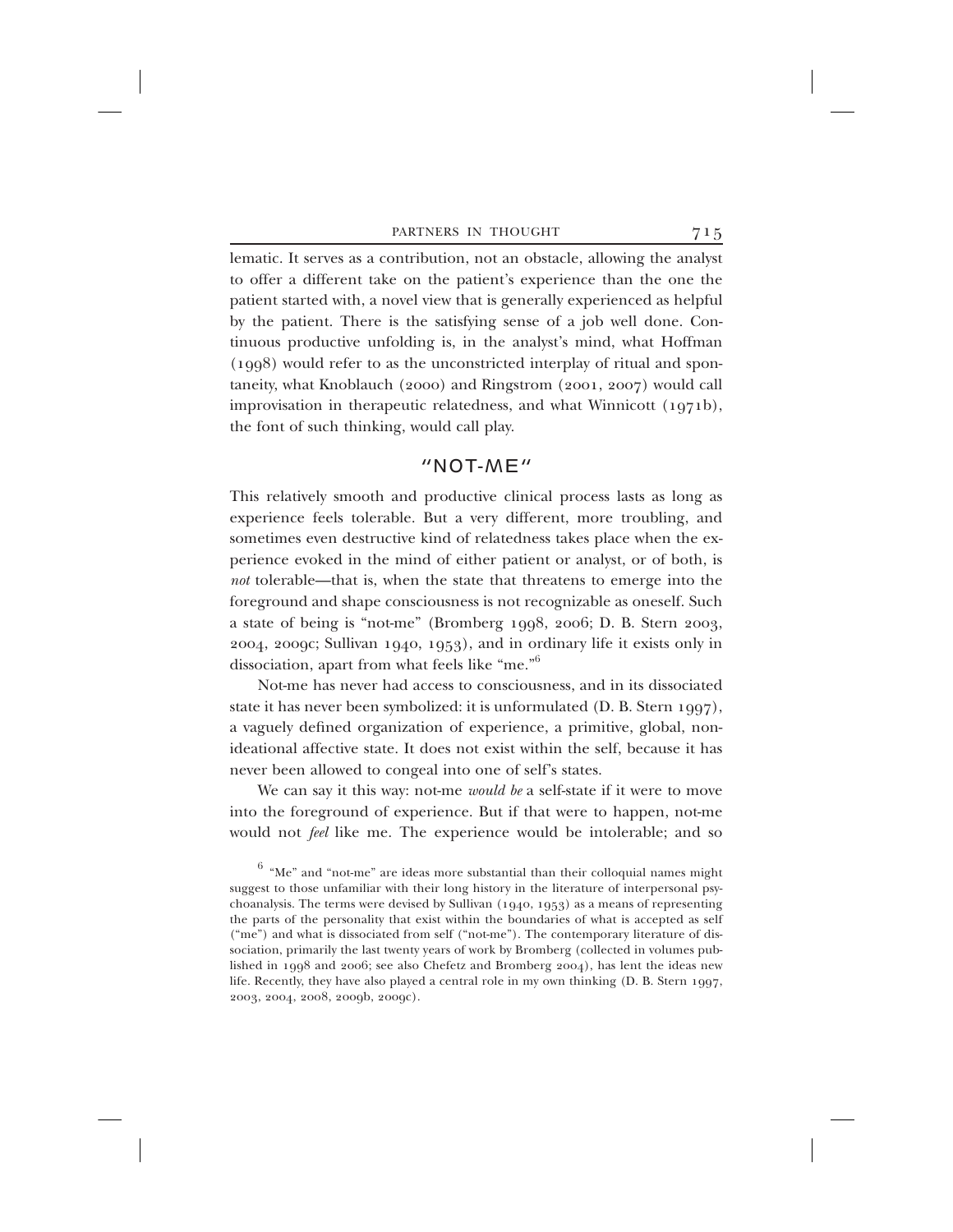lematic. It serves as a contribution, not an obstacle, allowing the analyst to offer a different take on the patient's experience than the one the patient started with, a novel view that is generally experienced as helpful by the patient. There is the satisfying sense of a job well done. Continuous productive unfolding is, in the analyst's mind, what Hoffman (1998) would refer to as the unconstricted interplay of ritual and spontaneity, what Knoblauch (2000) and Ringstrom (2001, 2007) would call improvisation in therapeutic relatedness, and what Winnicott (1971b), the font of such thinking, would call play.

## "NOT-ME"

This relatively smooth and productive clinical process lasts as long as experience feels tolerable. But a very different, more troubling, and sometimes even destructive kind of relatedness takes place when the experience evoked in the mind of either patient or analyst, or of both, is *not* tolerable—that is, when the state that threatens to emerge into the foreground and shape consciousness is not recognizable as oneself. Such a state of being is "not-me" (Bromberg 1998, 2006; D. B. Stern 2003, 2004, 2009c; Sullivan 1940, 1953), and in ordinary life it exists only in dissociation, apart from what feels like "me."<sup>6</sup>

Not-me has never had access to consciousness, and in its dissociated state it has never been symbolized: it is unformulated (D. B. Stern 1997), a vaguely defined organization of experience, a primitive, global, nonideational affective state. It does not exist within the self, because it has never been allowed to congeal into one of self's states.

We can say it this way: not-me *would be* a self-state if it were to move into the foreground of experience. But if that were to happen, not-me would not *feel* like me. The experience would be intolerable; and so

 $6$  "Me" and "not-me" are ideas more substantial than their colloquial names might suggest to those unfamiliar with their long history in the literature of interpersonal psychoanalysis. The terms were devised by Sullivan (1940, 1953) as a means of representing the parts of the personality that exist within the boundaries of what is accepted as self ("me") and what is dissociated from self ("not-me"). The contemporary literature of dissociation, primarily the last twenty years of work by Bromberg (collected in volumes published in 1998 and 2006; see also Chefetz and Bromberg 2004), has lent the ideas new life. Recently, they have also played a central role in my own thinking (D. B. Stern 1997, 2003, 2004, 2008, 2009b, 2009c).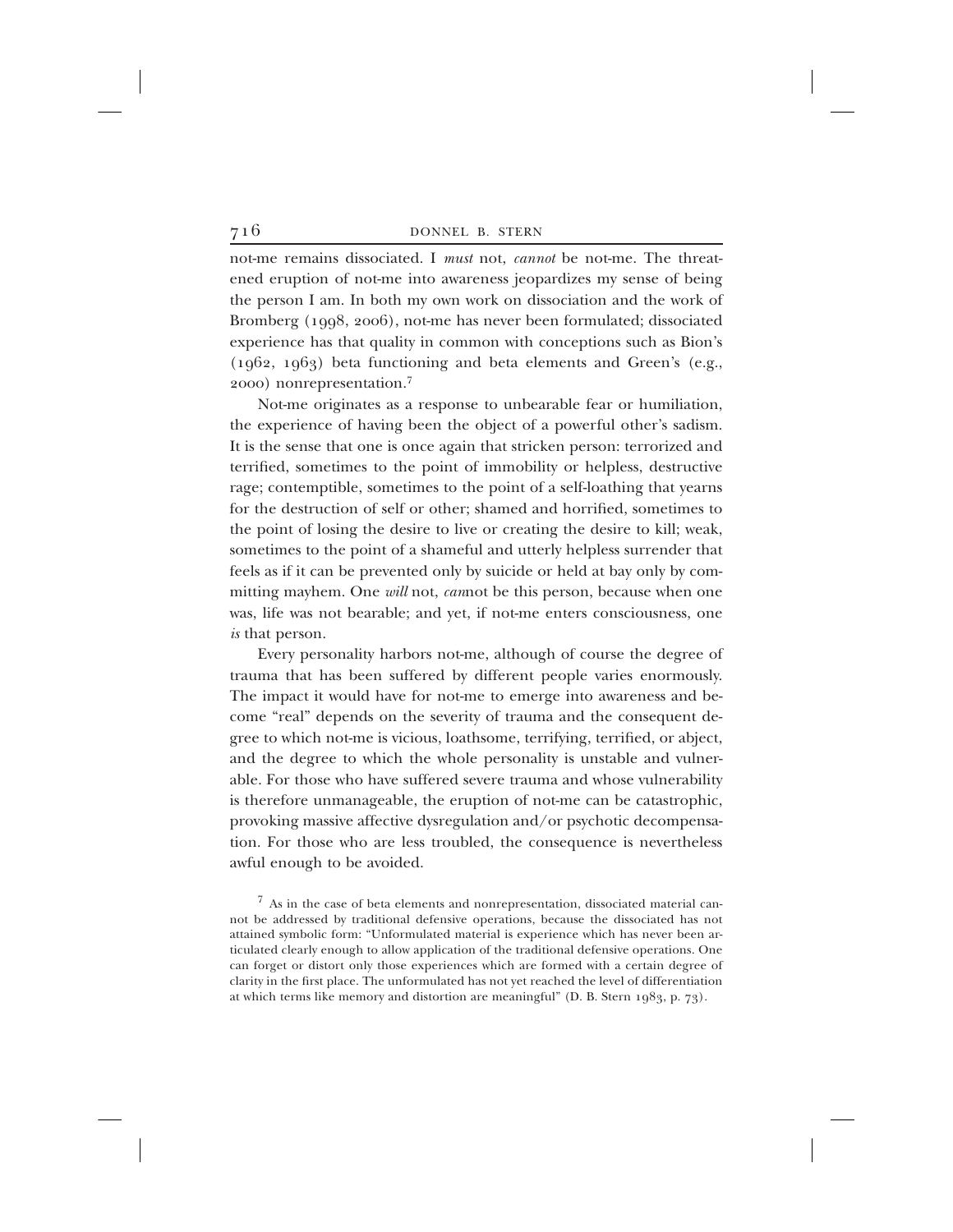not-me remains dissociated. I *must* not, *cannot* be not-me. The threatened eruption of not-me into awareness jeopardizes my sense of being the person I am. In both my own work on dissociation and the work of Bromberg (1998, 2006), not-me has never been formulated; dissociated experience has that quality in common with conceptions such as Bion's (1962, 1963) beta functioning and beta elements and Green's (e.g., 2000) nonrepresentation.<sup>7</sup>

Not-me originates as a response to unbearable fear or humiliation, the experience of having been the object of a powerful other's sadism. It is the sense that one is once again that stricken person: terrorized and terrified, sometimes to the point of immobility or helpless, destructive rage; contemptible, sometimes to the point of a self-loathing that yearns for the destruction of self or other; shamed and horrified, sometimes to the point of losing the desire to live or creating the desire to kill; weak, sometimes to the point of a shameful and utterly helpless surrender that feels as if it can be prevented only by suicide or held at bay only by committing mayhem. One *will* not, *can*not be this person, because when one was, life was not bearable; and yet, if not-me enters consciousness, one *is* that person.

Every personality harbors not-me, although of course the degree of trauma that has been suffered by different people varies enormously. The impact it would have for not-me to emerge into awareness and become "real" depends on the severity of trauma and the consequent degree to which not-me is vicious, loathsome, terrifying, terrified, or abject, and the degree to which the whole personality is unstable and vulnerable. For those who have suffered severe trauma and whose vulnerability is therefore unmanageable, the eruption of not-me can be catastrophic, provoking massive affective dysregulation and/or psychotic decompensation. For those who are less troubled, the consequence is nevertheless awful enough to be avoided.

7 As in the case of beta elements and nonrepresentation, dissociated material cannot be addressed by traditional defensive operations, because the dissociated has not attained symbolic form: "Unformulated material is experience which has never been articulated clearly enough to allow application of the traditional defensive operations. One can forget or distort only those experiences which are formed with a certain degree of clarity in the first place. The unformulated has not yet reached the level of differentiation at which terms like memory and distortion are meaningful" (D. B. Stern 1983, p. 73).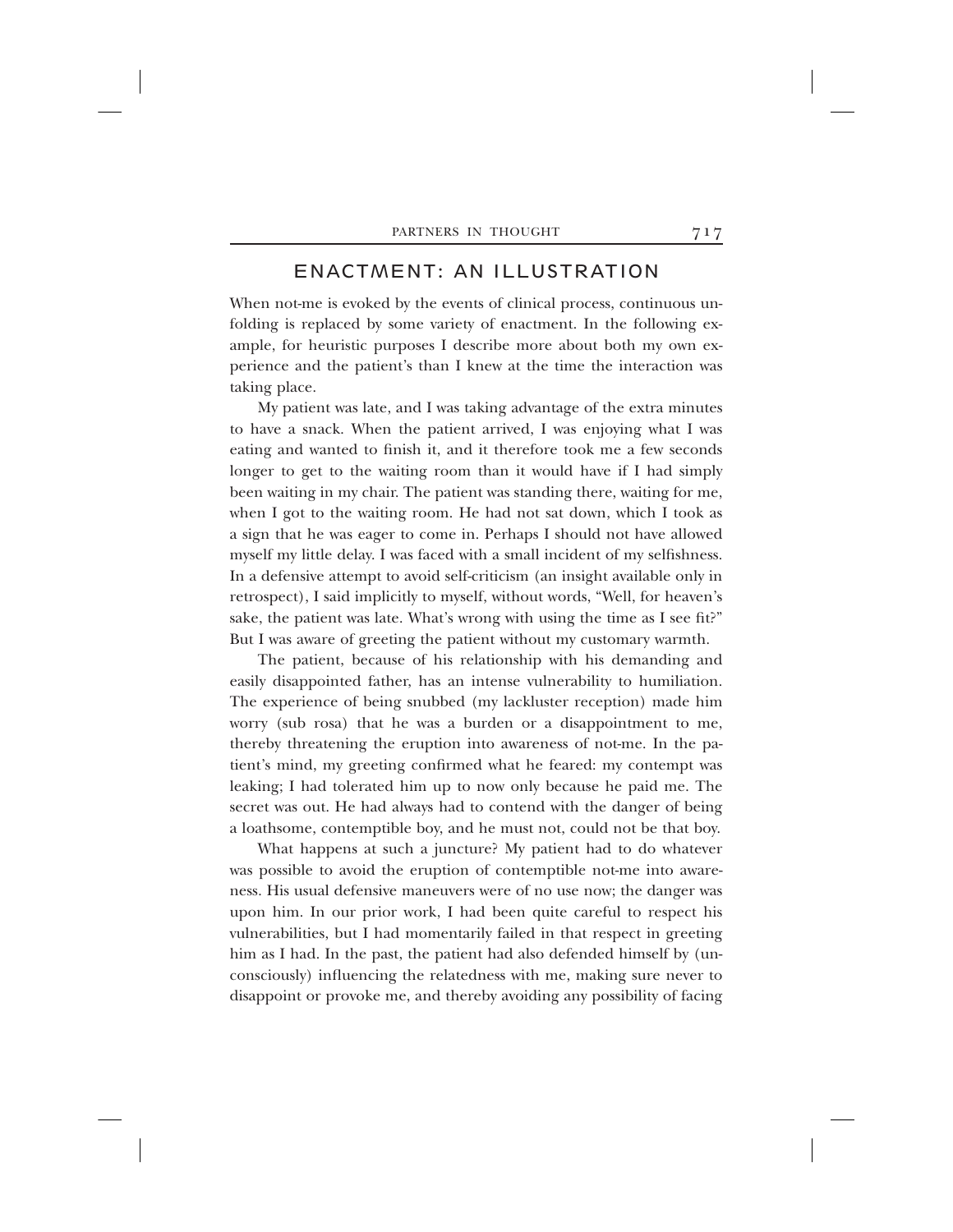### ENACTMENT: AN ILLUSTRATION

When not-me is evoked by the events of clinical process, continuous unfolding is replaced by some variety of enactment. In the following example, for heuristic purposes I describe more about both my own experience and the patient's than I knew at the time the interaction was taking place.

My patient was late, and I was taking advantage of the extra minutes to have a snack. When the patient arrived, I was enjoying what I was eating and wanted to finish it, and it therefore took me a few seconds longer to get to the waiting room than it would have if I had simply been waiting in my chair. The patient was standing there, waiting for me, when I got to the waiting room. He had not sat down, which I took as a sign that he was eager to come in. Perhaps I should not have allowed myself my little delay. I was faced with a small incident of my selfishness. In a defensive attempt to avoid self-criticism (an insight available only in retrospect), I said implicitly to myself, without words, "Well, for heaven's sake, the patient was late. What's wrong with using the time as I see fit?" But I was aware of greeting the patient without my customary warmth.

The patient, because of his relationship with his demanding and easily disappointed father, has an intense vulnerability to humiliation. The experience of being snubbed (my lackluster reception) made him worry (sub rosa) that he was a burden or a disappointment to me, thereby threatening the eruption into awareness of not-me. In the patient's mind, my greeting confirmed what he feared: my contempt was leaking; I had tolerated him up to now only because he paid me. The secret was out. He had always had to contend with the danger of being a loathsome, contemptible boy, and he must not, could not be that boy.

What happens at such a juncture? My patient had to do whatever was possible to avoid the eruption of contemptible not-me into awareness. His usual defensive maneuvers were of no use now; the danger was upon him. In our prior work, I had been quite careful to respect his vulnerabilities, but I had momentarily failed in that respect in greeting him as I had. In the past, the patient had also defended himself by (unconsciously) influencing the relatedness with me, making sure never to disappoint or provoke me, and thereby avoiding any possibility of facing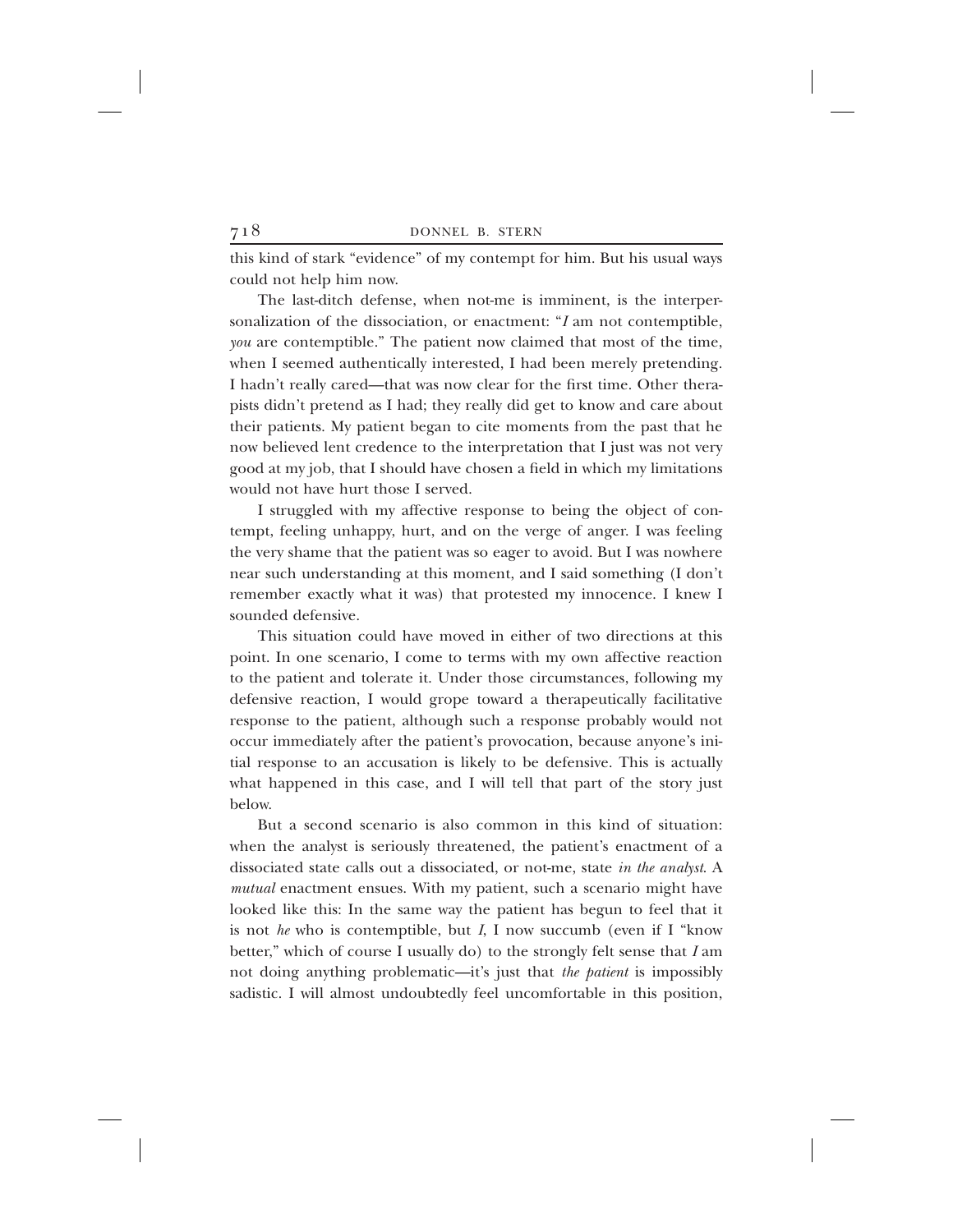this kind of stark "evidence" of my contempt for him. But his usual ways could not help him now.

The last-ditch defense, when not-me is imminent, is the interpersonalization of the dissociation, or enactment: "*I* am not contemptible, *you* are contemptible." The patient now claimed that most of the time, when I seemed authentically interested, I had been merely pretending. I hadn't really cared—that was now clear for the first time. Other therapists didn't pretend as I had; they really did get to know and care about their patients. My patient began to cite moments from the past that he now believed lent credence to the interpretation that I just was not very good at my job, that I should have chosen a field in which my limitations would not have hurt those I served.

I struggled with my affective response to being the object of contempt, feeling unhappy, hurt, and on the verge of anger. I was feeling the very shame that the patient was so eager to avoid. But I was nowhere near such understanding at this moment, and I said something (I don't remember exactly what it was) that protested my innocence. I knew I sounded defensive.

This situation could have moved in either of two directions at this point. In one scenario, I come to terms with my own affective reaction to the patient and tolerate it. Under those circumstances, following my defensive reaction, I would grope toward a therapeutically facilitative response to the patient, although such a response probably would not occur immediately after the patient's provocation, because anyone's initial response to an accusation is likely to be defensive. This is actually what happened in this case, and I will tell that part of the story just below.

But a second scenario is also common in this kind of situation: when the analyst is seriously threatened, the patient's enactment of a dissociated state calls out a dissociated, or not-me, state *in the analyst*. A *mutual* enactment ensues. With my patient, such a scenario might have looked like this: In the same way the patient has begun to feel that it is not *he* who is contemptible, but *I*, I now succumb (even if I "know better," which of course I usually do) to the strongly felt sense that *I* am not doing anything problematic—it's just that *the patient* is impossibly sadistic. I will almost undoubtedly feel uncomfortable in this position,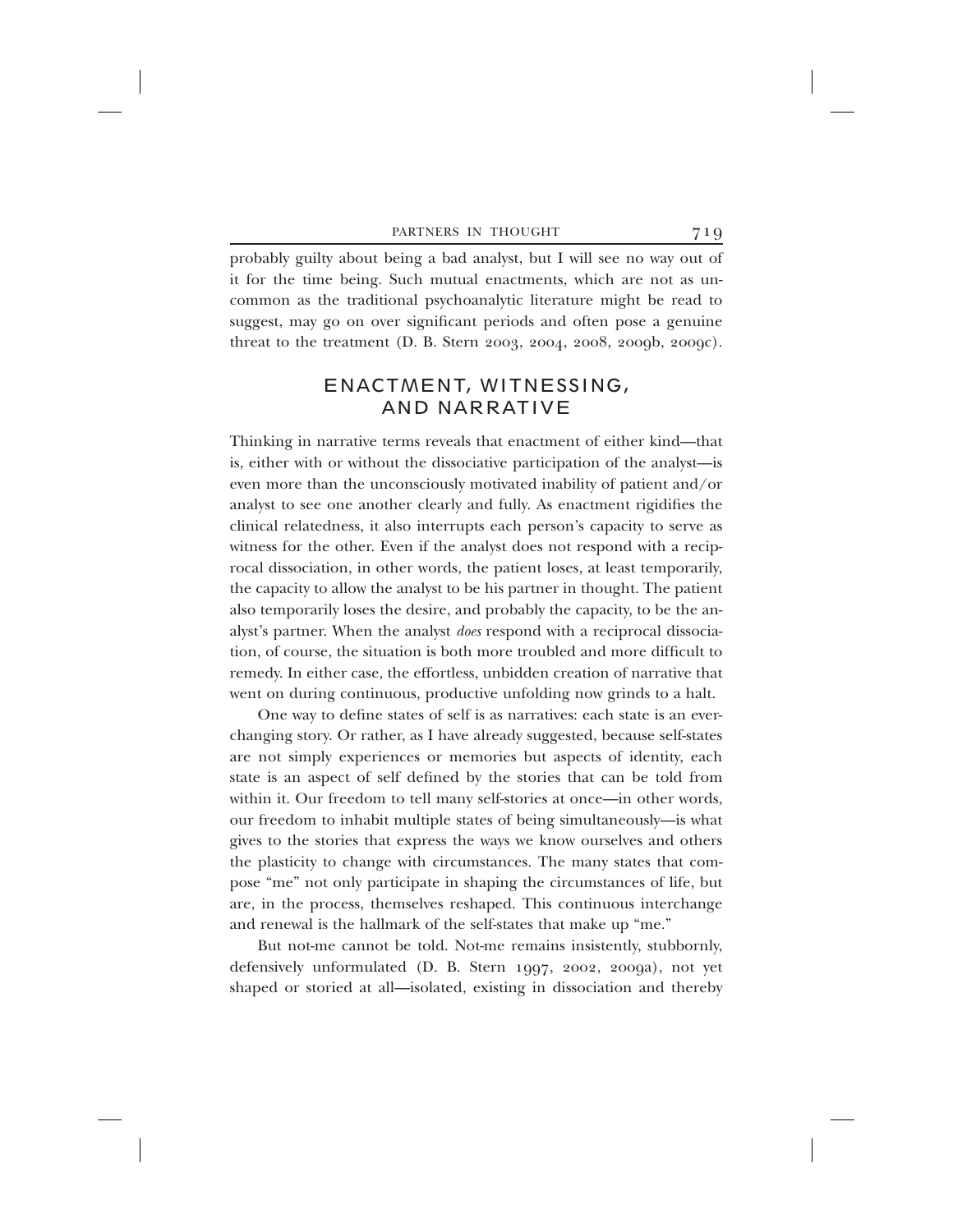probably guilty about being a bad analyst, but I will see no way out of it for the time being. Such mutual enactments, which are not as uncommon as the traditional psychoanalytic literature might be read to suggest, may go on over significant periods and often pose a genuine threat to the treatment (D. B. Stern 2003, 2004, 2008, 2009b, 2009c).

## ENACTMENT, WITNESSING, AND NARRATIVE

Thinking in narrative terms reveals that enactment of either kind—that is, either with or without the dissociative participation of the analyst—is even more than the unconsciously motivated inability of patient and/or analyst to see one another clearly and fully. As enactment rigidifies the clinical relatedness, it also interrupts each person's capacity to serve as witness for the other. Even if the analyst does not respond with a reciprocal dissociation, in other words, the patient loses, at least temporarily, the capacity to allow the analyst to be his partner in thought. The patient also temporarily loses the desire, and probably the capacity, to be the analyst's partner. When the analyst *does* respond with a reciprocal dissociation, of course, the situation is both more troubled and more difficult to remedy. In either case, the effortless, unbidden creation of narrative that went on during continuous, productive unfolding now grinds to a halt.

One way to define states of self is as narratives: each state is an everchanging story. Or rather, as I have already suggested, because self-states are not simply experiences or memories but aspects of identity, each state is an aspect of self defined by the stories that can be told from within it. Our freedom to tell many self-stories at once—in other words, our freedom to inhabit multiple states of being simultaneously—is what gives to the stories that express the ways we know ourselves and others the plasticity to change with circumstances. The many states that compose "me" not only participate in shaping the circumstances of life, but are, in the process, themselves reshaped. This continuous interchange and renewal is the hallmark of the self-states that make up "me."

But not-me cannot be told. Not-me remains insistently, stubbornly, defensively unformulated (D. B. Stern 1997, 2002, 2009a), not yet shaped or storied at all—isolated, existing in dissociation and thereby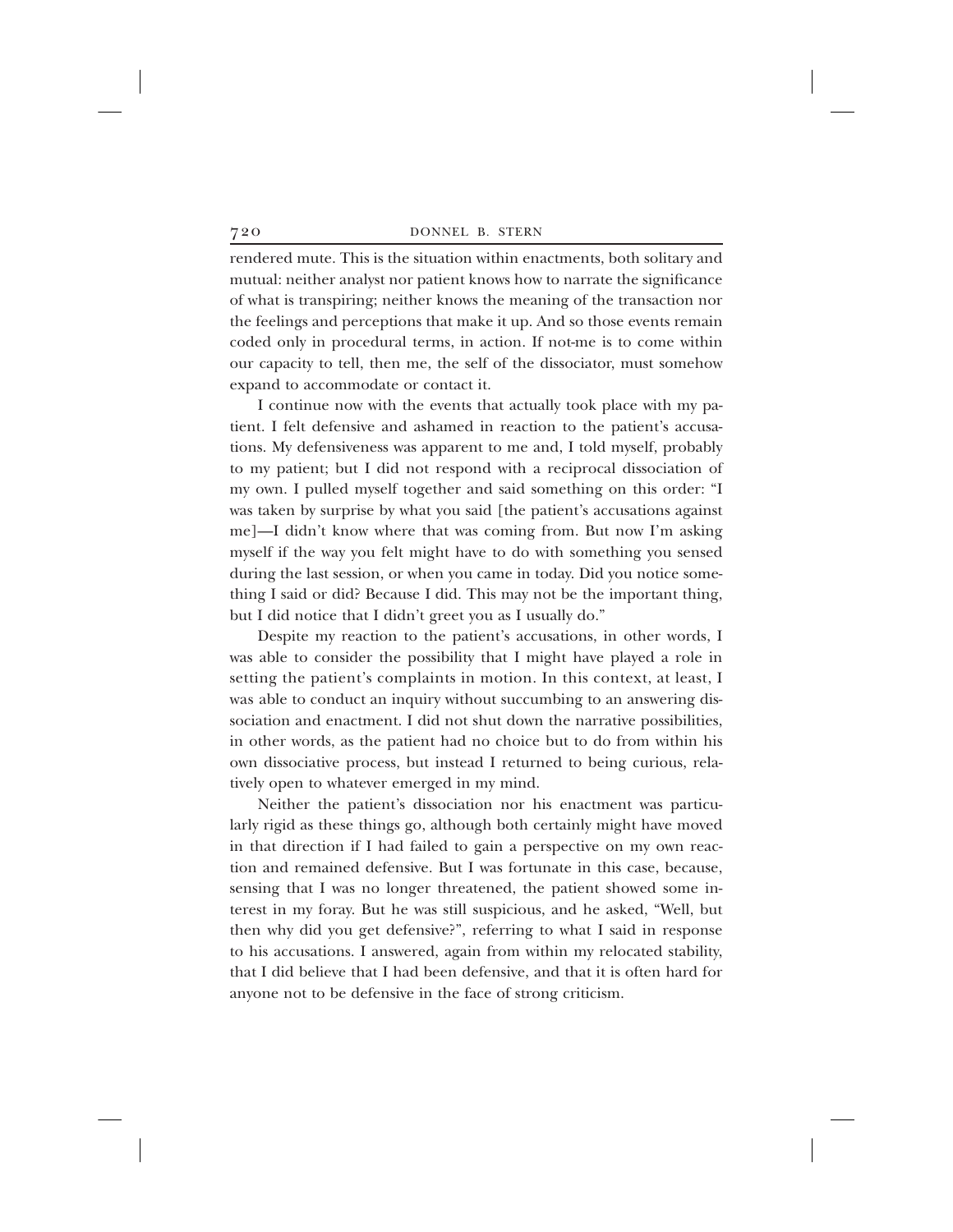rendered mute. This is the situation within enactments, both solitary and mutual: neither analyst nor patient knows how to narrate the significance of what is transpiring; neither knows the meaning of the transaction nor the feelings and perceptions that make it up. And so those events remain coded only in procedural terms, in action. If not-me is to come within our capacity to tell, then me, the self of the dissociator, must somehow expand to accommodate or contact it.

I continue now with the events that actually took place with my patient. I felt defensive and ashamed in reaction to the patient's accusations. My defensiveness was apparent to me and, I told myself, probably to my patient; but I did not respond with a reciprocal dissociation of my own. I pulled myself together and said something on this order: "I was taken by surprise by what you said [the patient's accusations against me]—I didn't know where that was coming from. But now I'm asking myself if the way you felt might have to do with something you sensed during the last session, or when you came in today. Did you notice something I said or did? Because I did. This may not be the important thing, but I did notice that I didn't greet you as I usually do."

Despite my reaction to the patient's accusations, in other words, I was able to consider the possibility that I might have played a role in setting the patient's complaints in motion. In this context, at least, I was able to conduct an inquiry without succumbing to an answering dissociation and enactment. I did not shut down the narrative possibilities, in other words, as the patient had no choice but to do from within his own dissociative process, but instead I returned to being curious, relatively open to whatever emerged in my mind.

Neither the patient's dissociation nor his enactment was particularly rigid as these things go, although both certainly might have moved in that direction if I had failed to gain a perspective on my own reaction and remained defensive. But I was fortunate in this case, because, sensing that I was no longer threatened, the patient showed some interest in my foray. But he was still suspicious, and he asked, "Well, but then why did you get defensive?", referring to what I said in response to his accusations. I answered, again from within my relocated stability, that I did believe that I had been defensive, and that it is often hard for anyone not to be defensive in the face of strong criticism.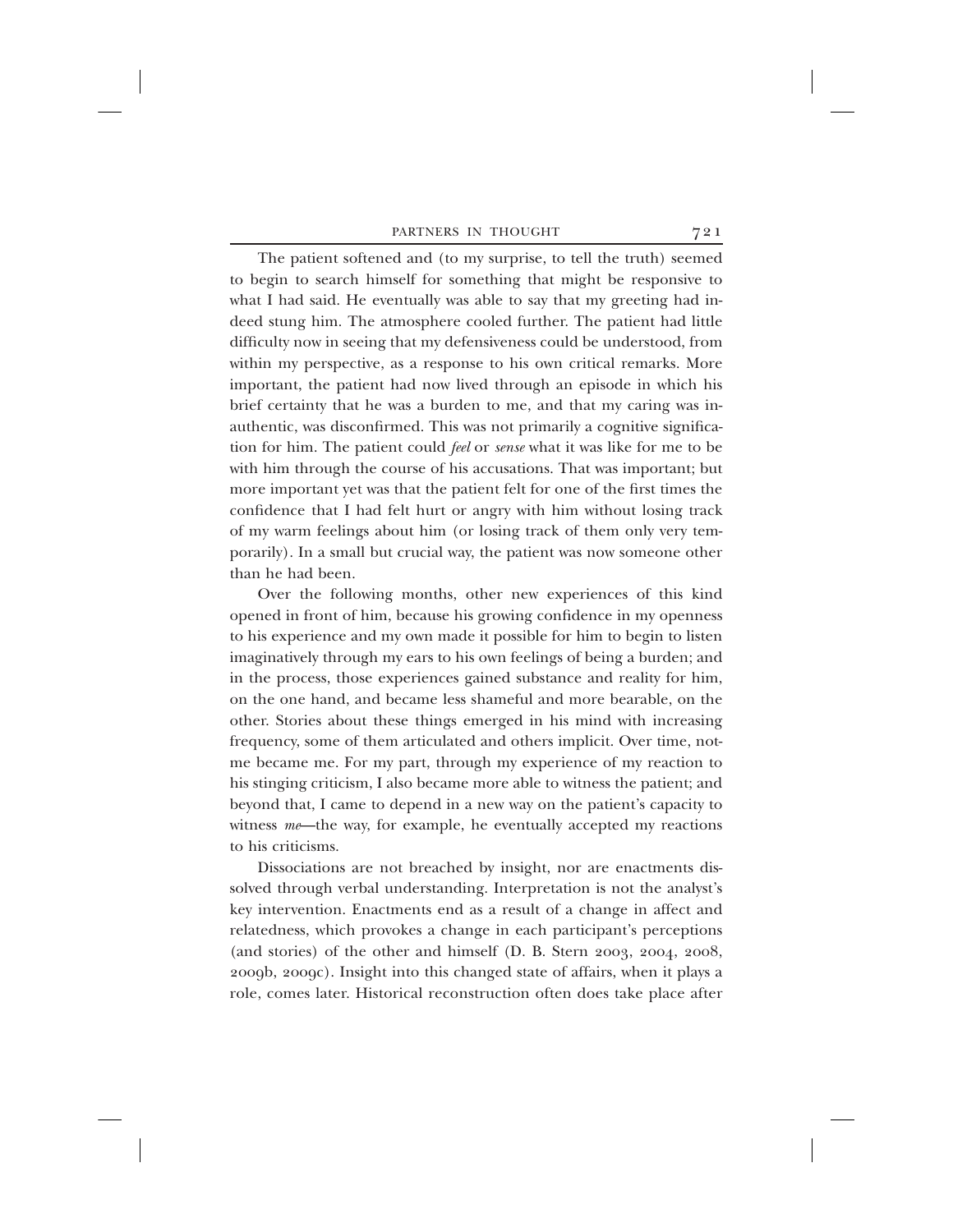The patient softened and (to my surprise, to tell the truth) seemed to begin to search himself for something that might be responsive to what I had said. He eventually was able to say that my greeting had indeed stung him. The atmosphere cooled further. The patient had little difficulty now in seeing that my defensiveness could be understood, from within my perspective, as a response to his own critical remarks. More important, the patient had now lived through an episode in which his brief certainty that he was a burden to me, and that my caring was inauthentic, was disconfirmed. This was not primarily a cognitive signification for him. The patient could *feel* or *sense* what it was like for me to be with him through the course of his accusations. That was important; but more important yet was that the patient felt for one of the first times the confidence that I had felt hurt or angry with him without losing track of my warm feelings about him (or losing track of them only very temporarily). In a small but crucial way, the patient was now someone other than he had been.

Over the following months, other new experiences of this kind opened in front of him, because his growing confidence in my openness to his experience and my own made it possible for him to begin to listen imaginatively through my ears to his own feelings of being a burden; and in the process, those experiences gained substance and reality for him, on the one hand, and became less shameful and more bearable, on the other. Stories about these things emerged in his mind with increasing frequency, some of them articulated and others implicit. Over time, notme became me. For my part, through my experience of my reaction to his stinging criticism, I also became more able to witness the patient; and beyond that, I came to depend in a new way on the patient's capacity to witness *me*—the way, for example, he eventually accepted my reactions to his criticisms.

Dissociations are not breached by insight, nor are enactments dissolved through verbal understanding. Interpretation is not the analyst's key intervention. Enactments end as a result of a change in affect and relatedness, which provokes a change in each participant's perceptions (and stories) of the other and himself (D. B. Stern 2003, 2004, 2008, 2009b, 2009c). Insight into this changed state of affairs, when it plays a role, comes later. Historical reconstruction often does take place after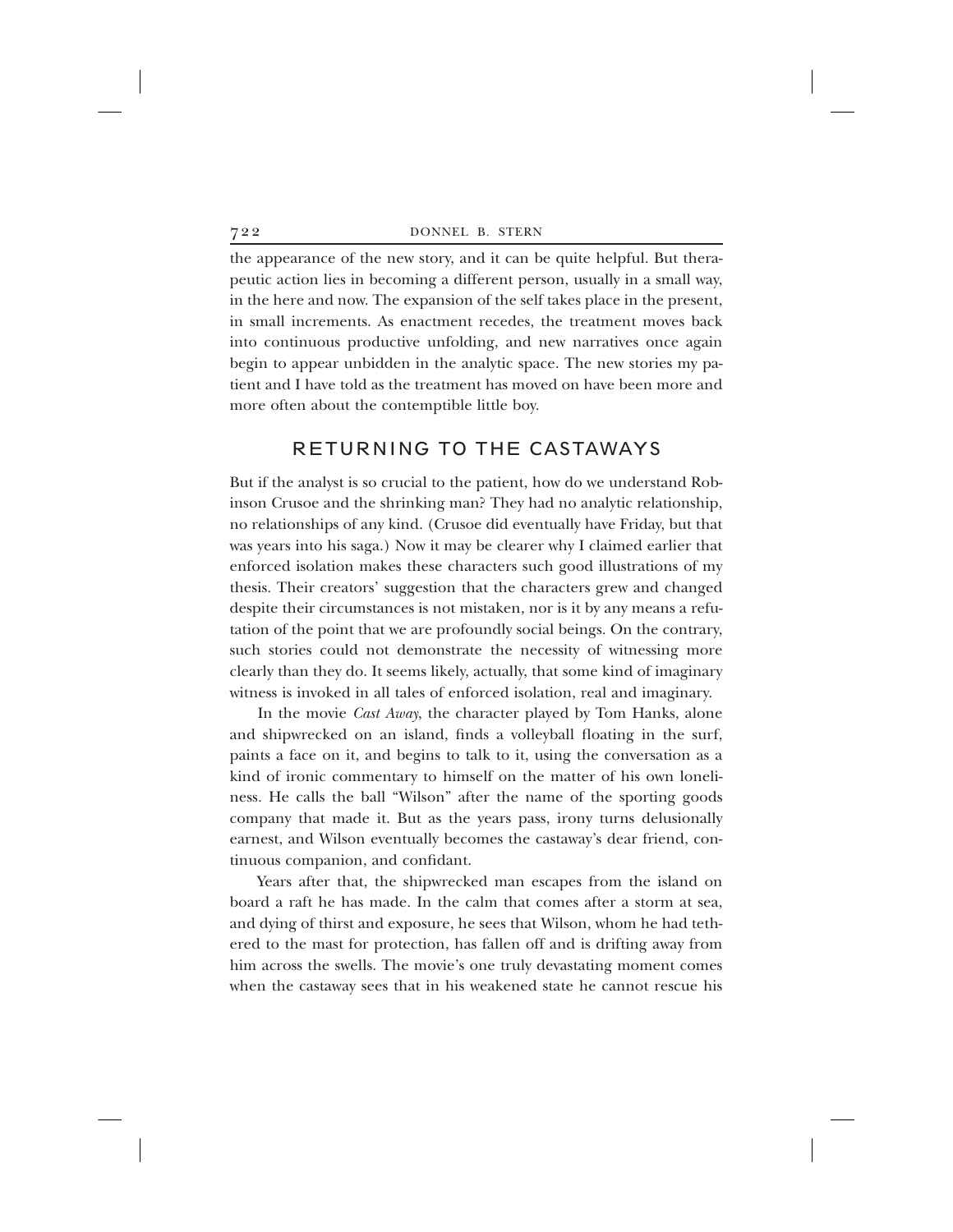the appearance of the new story, and it can be quite helpful. But therapeutic action lies in becoming a different person, usually in a small way, in the here and now. The expansion of the self takes place in the present, in small increments. As enactment recedes, the treatment moves back into continuous productive unfolding, and new narratives once again begin to appear unbidden in the analytic space. The new stories my patient and I have told as the treatment has moved on have been more and more often about the contemptible little boy.

## RETURNING TO THE CASTAWAYS

But if the analyst is so crucial to the patient, how do we understand Robinson Crusoe and the shrinking man? They had no analytic relationship, no relationships of any kind. (Crusoe did eventually have Friday, but that was years into his saga.) Now it may be clearer why I claimed earlier that enforced isolation makes these characters such good illustrations of my thesis. Their creators' suggestion that the characters grew and changed despite their circumstances is not mistaken, nor is it by any means a refutation of the point that we are profoundly social beings. On the contrary, such stories could not demonstrate the necessity of witnessing more clearly than they do. It seems likely, actually, that some kind of imaginary witness is invoked in all tales of enforced isolation, real and imaginary.

In the movie *Cast Away*, the character played by Tom Hanks, alone and shipwrecked on an island, finds a volleyball floating in the surf, paints a face on it, and begins to talk to it, using the conversation as a kind of ironic commentary to himself on the matter of his own loneliness. He calls the ball "Wilson" after the name of the sporting goods company that made it. But as the years pass, irony turns delusionally earnest, and Wilson eventually becomes the castaway's dear friend, continuous companion, and confidant.

Years after that, the shipwrecked man escapes from the island on board a raft he has made. In the calm that comes after a storm at sea, and dying of thirst and exposure, he sees that Wilson, whom he had tethered to the mast for protection, has fallen off and is drifting away from him across the swells. The movie's one truly devastating moment comes when the castaway sees that in his weakened state he cannot rescue his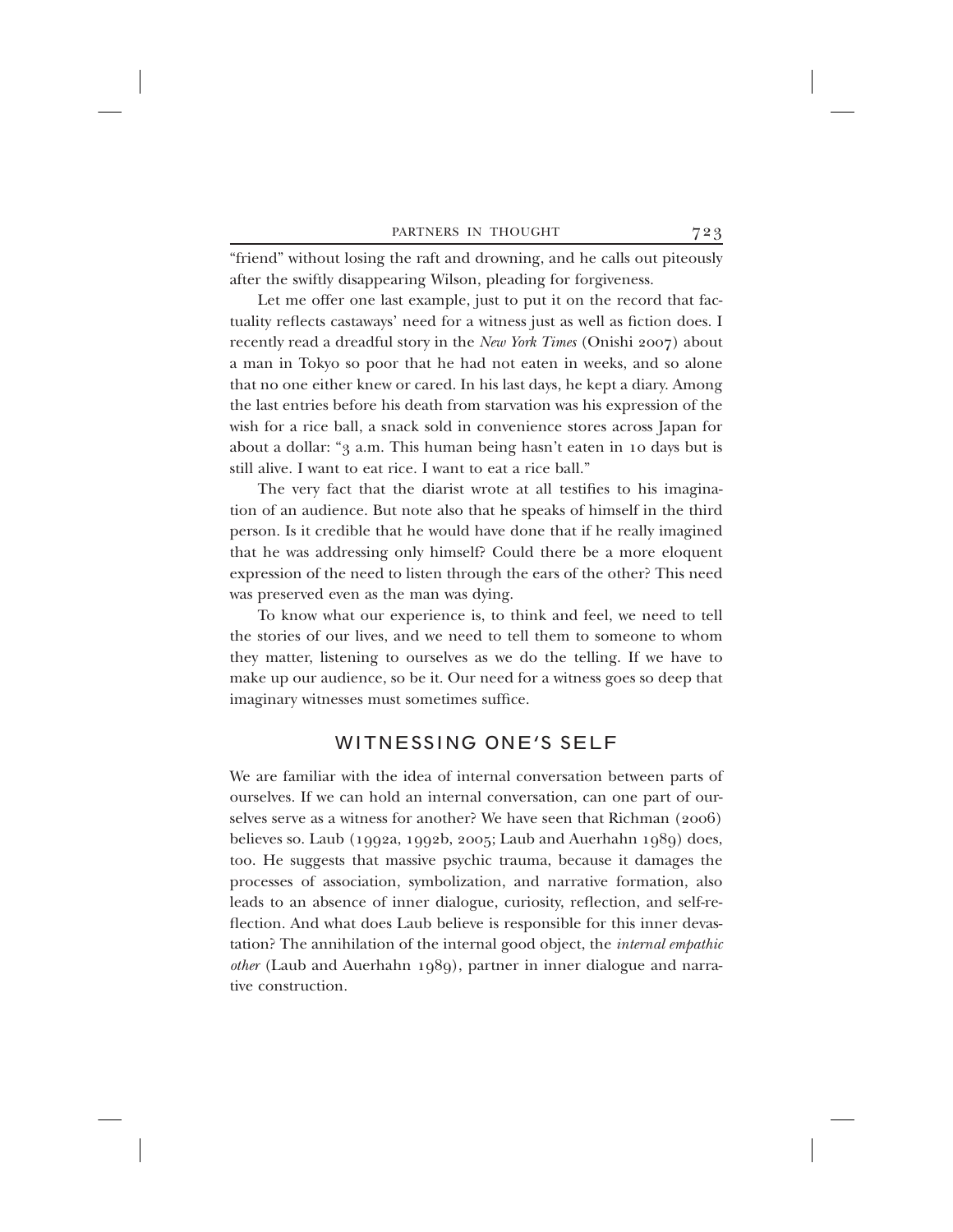"friend" without losing the raft and drowning, and he calls out piteously after the swiftly disappearing Wilson, pleading for forgiveness.

Let me offer one last example, just to put it on the record that factuality reflects castaways' need for a witness just as well as fiction does. I recently read a dreadful story in the *New York Times* (Onishi 2007) about a man in Tokyo so poor that he had not eaten in weeks, and so alone that no one either knew or cared. In his last days, he kept a diary. Among the last entries before his death from starvation was his expression of the wish for a rice ball, a snack sold in convenience stores across Japan for about a dollar: "3 a.m. This human being hasn't eaten in 10 days but is still alive. I want to eat rice. I want to eat a rice ball."

The very fact that the diarist wrote at all testifies to his imagination of an audience. But note also that he speaks of himself in the third person. Is it credible that he would have done that if he really imagined that he was addressing only himself? Could there be a more eloquent expression of the need to listen through the ears of the other? This need was preserved even as the man was dying.

To know what our experience is, to think and feel, we need to tell the stories of our lives, and we need to tell them to someone to whom they matter, listening to ourselves as we do the telling. If we have to make up our audience, so be it. Our need for a witness goes so deep that imaginary witnesses must sometimes suffice.

## WITNESSING ONE'S SELF

We are familiar with the idea of internal conversation between parts of ourselves. If we can hold an internal conversation, can one part of ourselves serve as a witness for another? We have seen that Richman (2006) believes so. Laub (1992a, 1992b, 2005; Laub and Auerhahn 1989) does, too. He suggests that massive psychic trauma, because it damages the processes of association, symbolization, and narrative formation, also leads to an absence of inner dialogue, curiosity, reflection, and self-reflection. And what does Laub believe is responsible for this inner devastation? The annihilation of the internal good object, the *internal empathic other* (Laub and Auerhahn 1989), partner in inner dialogue and narrative construction.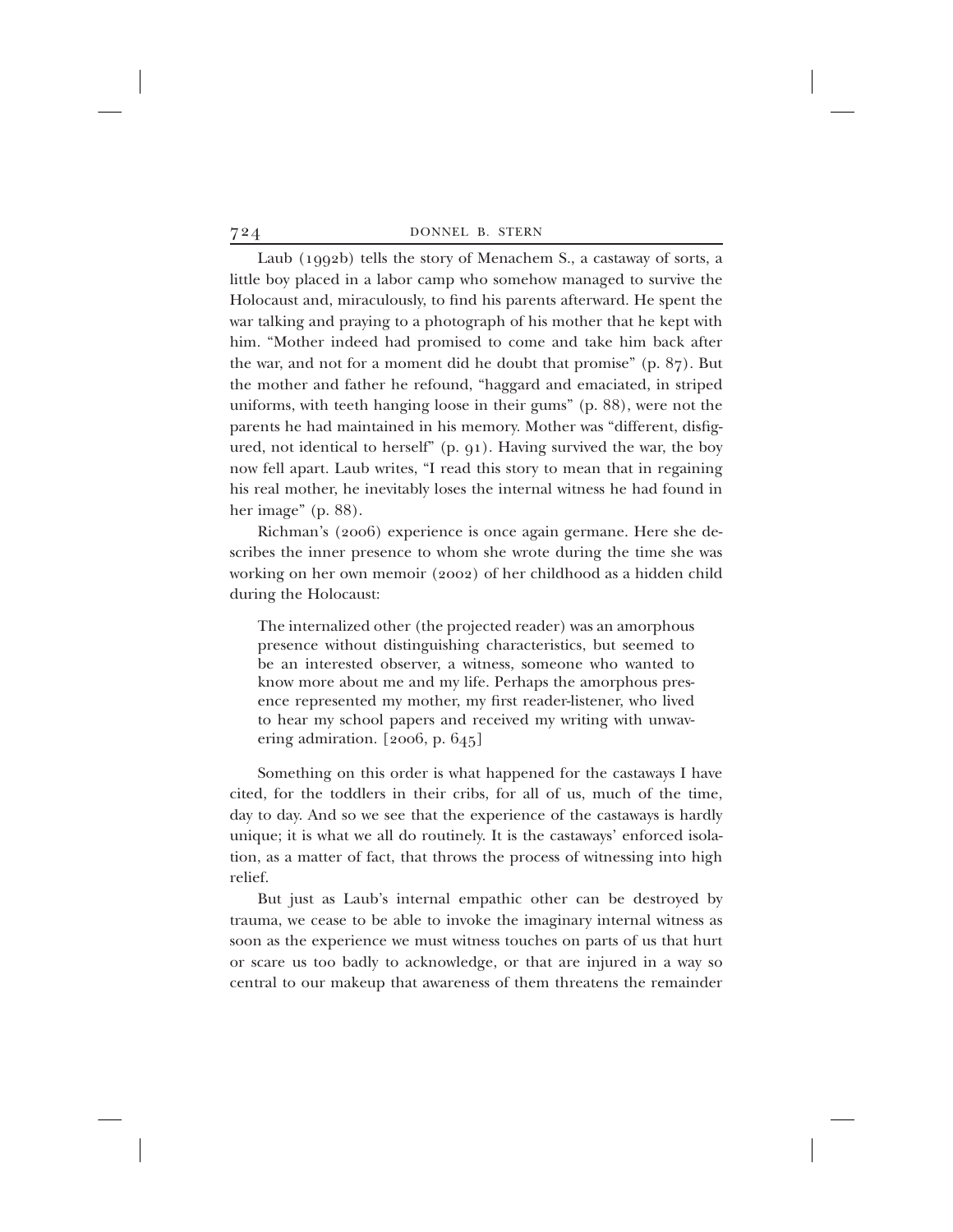Laub (1992b) tells the story of Menachem S., a castaway of sorts, a little boy placed in a labor camp who somehow managed to survive the Holocaust and, miraculously, to find his parents afterward. He spent the war talking and praying to a photograph of his mother that he kept with him. "Mother indeed had promised to come and take him back after the war, and not for a moment did he doubt that promise"  $(p. 87)$ . But the mother and father he refound, "haggard and emaciated, in striped uniforms, with teeth hanging loose in their gums" (p. 88), were not the parents he had maintained in his memory. Mother was "different, disfigured, not identical to herself" (p. 91). Having survived the war, the boy now fell apart. Laub writes, "I read this story to mean that in regaining his real mother, he inevitably loses the internal witness he had found in her image" (p. 88).

Richman's (2006) experience is once again germane. Here she describes the inner presence to whom she wrote during the time she was working on her own memoir (2002) of her childhood as a hidden child during the Holocaust:

The internalized other (the projected reader) was an amorphous presence without distinguishing characteristics, but seemed to be an interested observer, a witness, someone who wanted to know more about me and my life. Perhaps the amorphous presence represented my mother, my first reader-listener, who lived to hear my school papers and received my writing with unwavering admiration. [2006, p. 645]

Something on this order is what happened for the castaways I have cited, for the toddlers in their cribs, for all of us, much of the time, day to day. And so we see that the experience of the castaways is hardly unique; it is what we all do routinely. It is the castaways' enforced isolation, as a matter of fact, that throws the process of witnessing into high relief.

But just as Laub's internal empathic other can be destroyed by trauma, we cease to be able to invoke the imaginary internal witness as soon as the experience we must witness touches on parts of us that hurt or scare us too badly to acknowledge, or that are injured in a way so central to our makeup that awareness of them threatens the remainder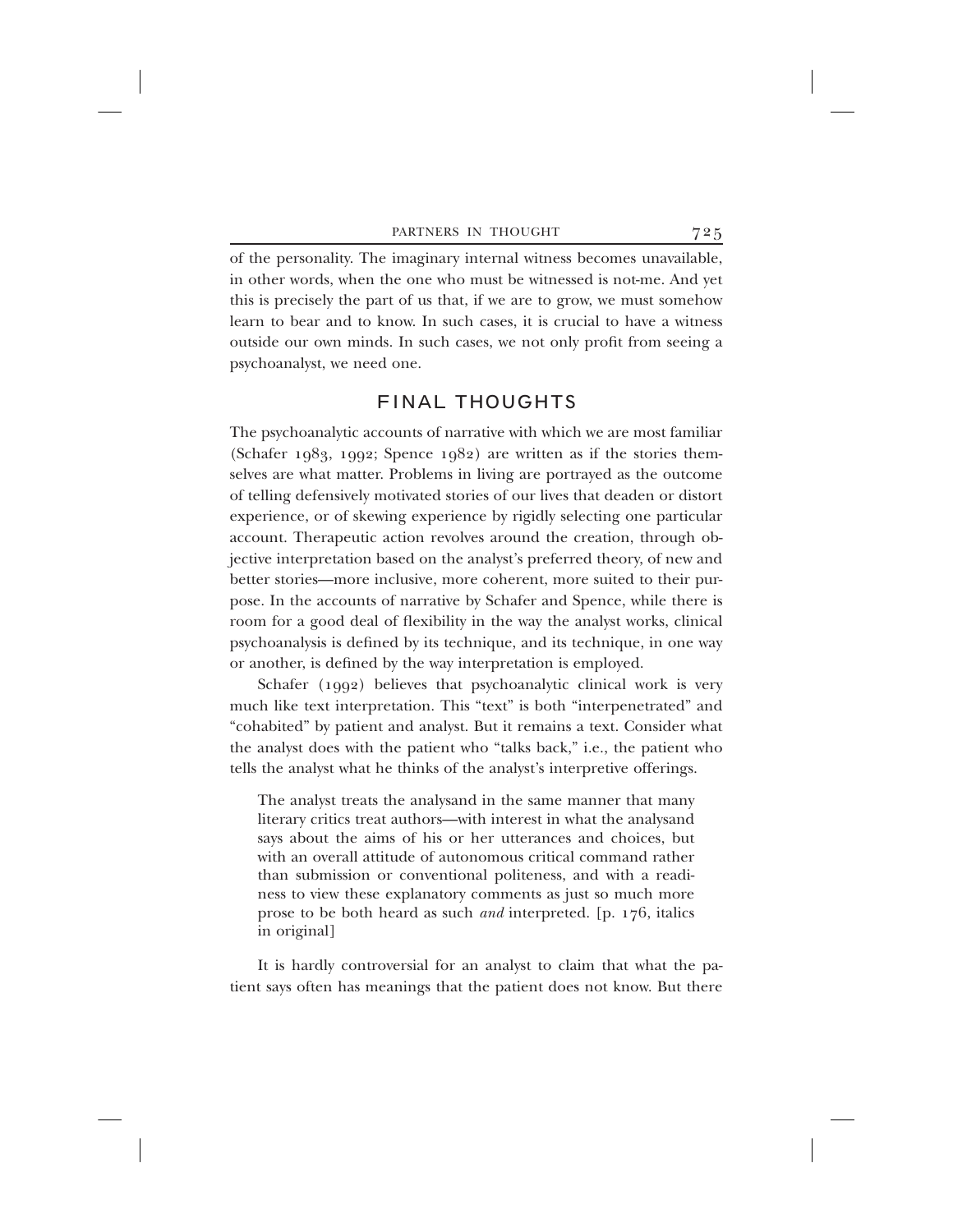of the personality. The imaginary internal witness becomes unavailable, in other words, when the one who must be witnessed is not-me. And yet this is precisely the part of us that, if we are to grow, we must somehow learn to bear and to know. In such cases, it is crucial to have a witness outside our own minds. In such cases, we not only profit from seeing a psychoanalyst, we need one.

## FINAL THOUGHTS

The psychoanalytic accounts of narrative with which we are most familiar (Schafer 1983, 1992; Spence 1982) are written as if the stories themselves are what matter. Problems in living are portrayed as the outcome of telling defensively motivated stories of our lives that deaden or distort experience, or of skewing experience by rigidly selecting one particular account. Therapeutic action revolves around the creation, through objective interpretation based on the analyst's preferred theory, of new and better stories—more inclusive, more coherent, more suited to their purpose. In the accounts of narrative by Schafer and Spence, while there is room for a good deal of flexibility in the way the analyst works, clinical psychoanalysis is defined by its technique, and its technique, in one way or another, is defined by the way interpretation is employed.

Schafer (1992) believes that psychoanalytic clinical work is very much like text interpretation. This "text" is both "interpenetrated" and "cohabited" by patient and analyst. But it remains a text. Consider what the analyst does with the patient who "talks back," i.e., the patient who tells the analyst what he thinks of the analyst's interpretive offerings.

The analyst treats the analysand in the same manner that many literary critics treat authors—with interest in what the analysand says about the aims of his or her utterances and choices, but with an overall attitude of autonomous critical command rather than submission or conventional politeness, and with a readiness to view these explanatory comments as just so much more prose to be both heard as such *and* interpreted. [p. 176, italics in original]

It is hardly controversial for an analyst to claim that what the patient says often has meanings that the patient does not know. But there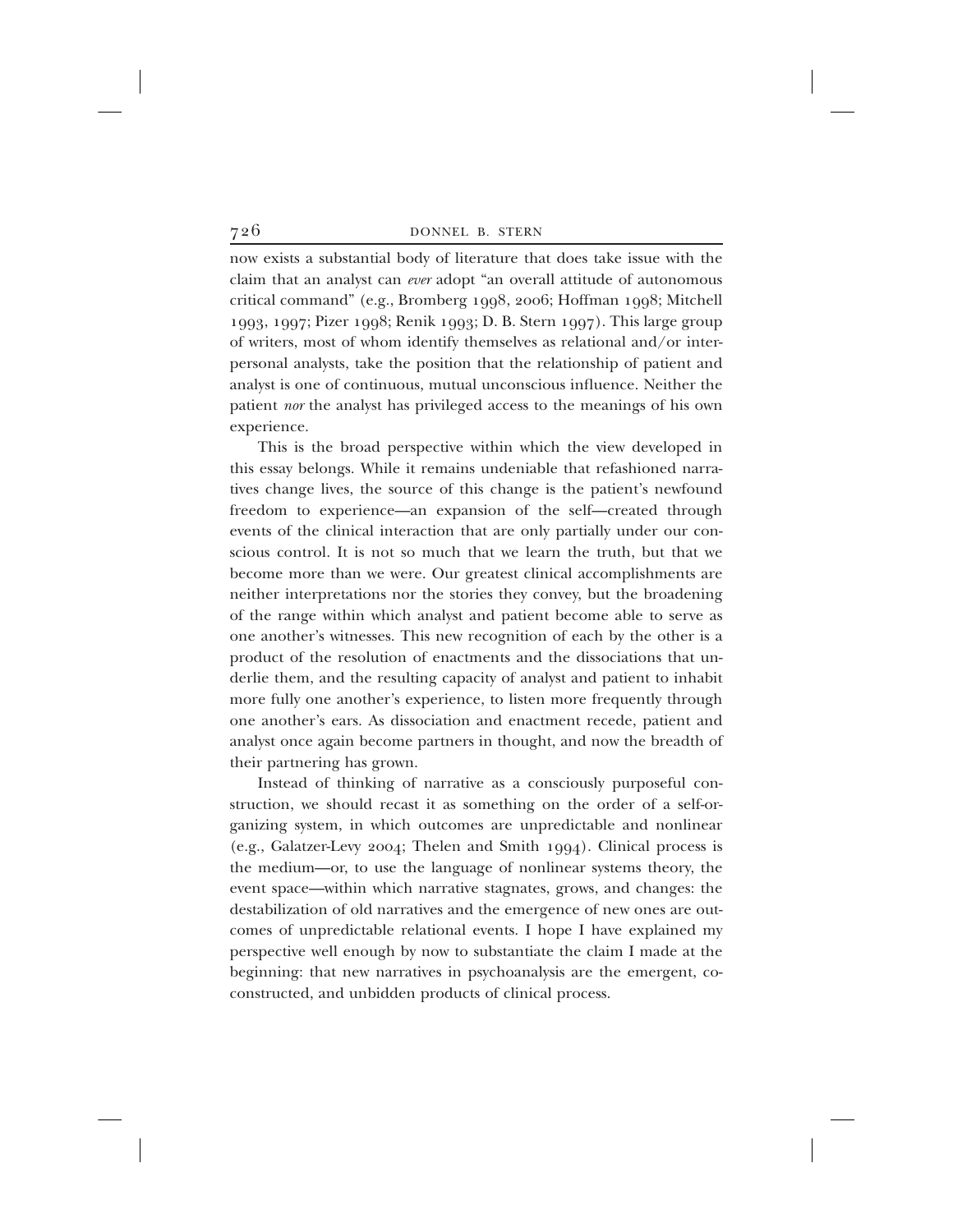now exists a substantial body of literature that does take issue with the claim that an analyst can *ever* adopt "an overall attitude of autonomous critical command" (e.g., Bromberg 1998, 2006; Hoffman 1998; Mitchell 1993, 1997; Pizer 1998; Renik 1993; D. B. Stern 1997). This large group of writers, most of whom identify themselves as relational and/or interpersonal analysts, take the position that the relationship of patient and analyst is one of continuous, mutual unconscious influence. Neither the patient *nor* the analyst has privileged access to the meanings of his own experience.

This is the broad perspective within which the view developed in this essay belongs. While it remains undeniable that refashioned narratives change lives, the source of this change is the patient's newfound freedom to experience—an expansion of the self—created through events of the clinical interaction that are only partially under our conscious control. It is not so much that we learn the truth, but that we become more than we were. Our greatest clinical accomplishments are neither interpretations nor the stories they convey, but the broadening of the range within which analyst and patient become able to serve as one another's witnesses. This new recognition of each by the other is a product of the resolution of enactments and the dissociations that underlie them, and the resulting capacity of analyst and patient to inhabit more fully one another's experience, to listen more frequently through one another's ears. As dissociation and enactment recede, patient and analyst once again become partners in thought, and now the breadth of their partnering has grown.

Instead of thinking of narrative as a consciously purposeful construction, we should recast it as something on the order of a self-organizing system, in which outcomes are unpredictable and nonlinear (e.g., Galatzer-Levy 2004; Thelen and Smith 1994). Clinical process is the medium—or, to use the language of nonlinear systems theory, the event space—within which narrative stagnates, grows, and changes: the destabilization of old narratives and the emergence of new ones are outcomes of unpredictable relational events. I hope I have explained my perspective well enough by now to substantiate the claim I made at the beginning: that new narratives in psychoanalysis are the emergent, coconstructed, and unbidden products of clinical process.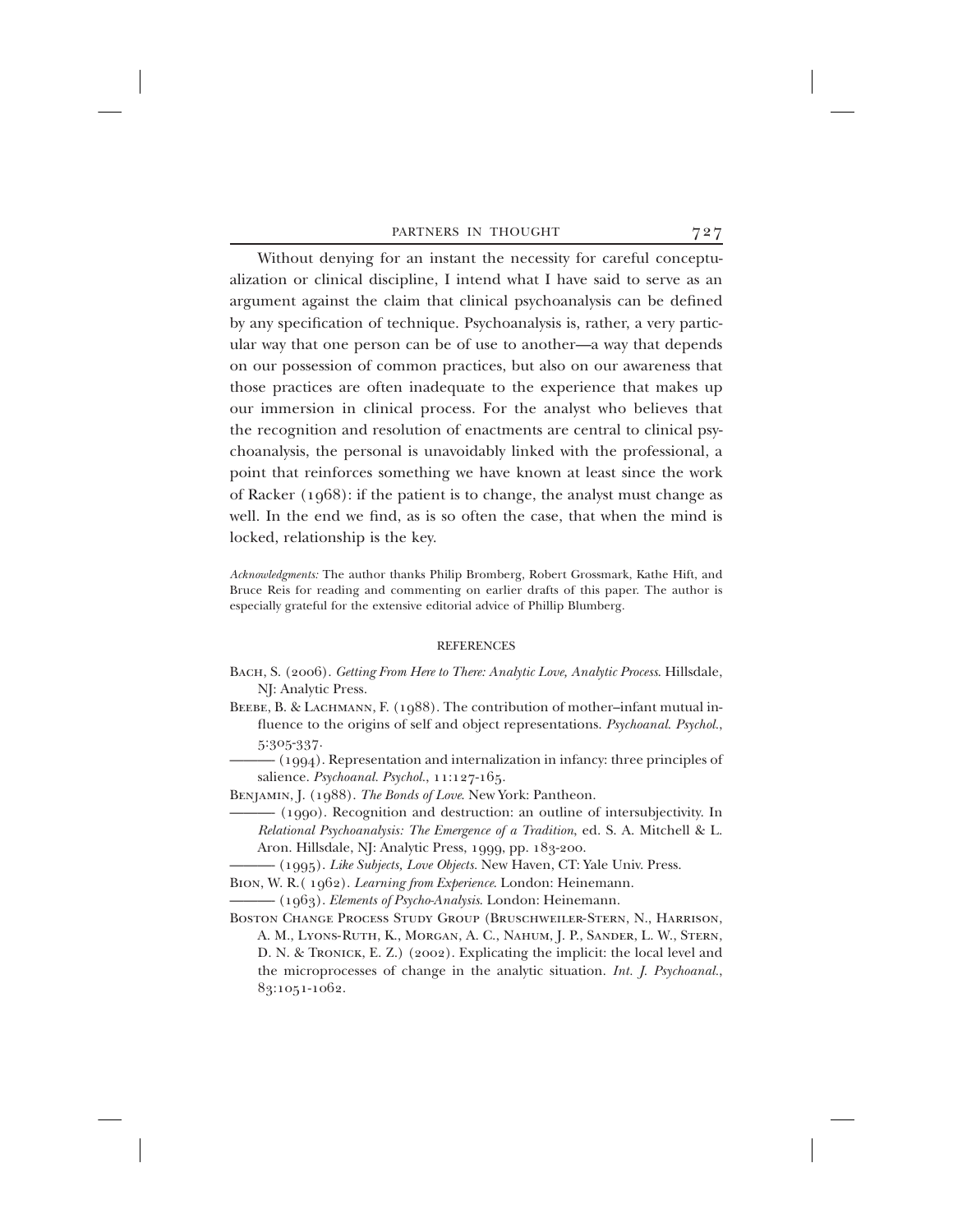Without denying for an instant the necessity for careful conceptualization or clinical discipline, I intend what I have said to serve as an argument against the claim that clinical psychoanalysis can be defined by any specification of technique. Psychoanalysis is, rather, a very particular way that one person can be of use to another—a way that depends on our possession of common practices, but also on our awareness that those practices are often inadequate to the experience that makes up our immersion in clinical process. For the analyst who believes that the recognition and resolution of enactments are central to clinical psychoanalysis, the personal is unavoidably linked with the professional, a point that reinforces something we have known at least since the work of Racker (1968): if the patient is to change, the analyst must change as well. In the end we find, as is so often the case, that when the mind is locked, relationship is the key.

*Acknowledgments:* The author thanks Philip Bromberg, Robert Grossmark, Kathe Hift, and Bruce Reis for reading and commenting on earlier drafts of this paper. The author is especially grateful for the extensive editorial advice of Phillip Blumberg.

#### **REFERENCES**

- Bach, S. (2006). *Getting From Here to There: Analytic Love, Analytic Process*. Hillsdale, NJ: Analytic Press.
- BEEBE, B. & LACHMANN, F. (1988). The contribution of mother-infant mutual influence to the origins of self and object representations. *Psychoanal. Psychol.*, 5:305-337.
	- ———- (1994). Representation and internalization in infancy: three principles of salience. Psychoanal. Psychol., 11:127-165.
- Benjamin, J. (1988). *The Bonds of Love*. New York: Pantheon.
- (1990). Recognition and destruction: an outline of intersubjectivity. In *Relational Psychoanalysis: The Emergence of a Tradition*, ed. S. A. Mitchell & L. Aron. Hillsdale, NJ: Analytic Press, 1999, pp. 183-200.
	- ———- (1995). *Like Subjects, Love Objects.* New Haven, CT: Yale Univ. Press.
- Bion, W. R.( 1962). *Learning from Experience*. London: Heinemann.

———- (1963). *Elements of Psycho-Analysis*. London: Heinemann.

Boston Change Process Study Group (Bruschweiler-Stern, N., Harrison, A. M., Lyons-Ruth, K., Morgan, A. C., Nahum, J. P., Sander, L. W., Stern, D. N. & Tronick, E. Z.) (2002). Explicating the implicit: the local level and the microprocesses of change in the analytic situation. *Int. J. Psychoanal.*, 83:1051-1062.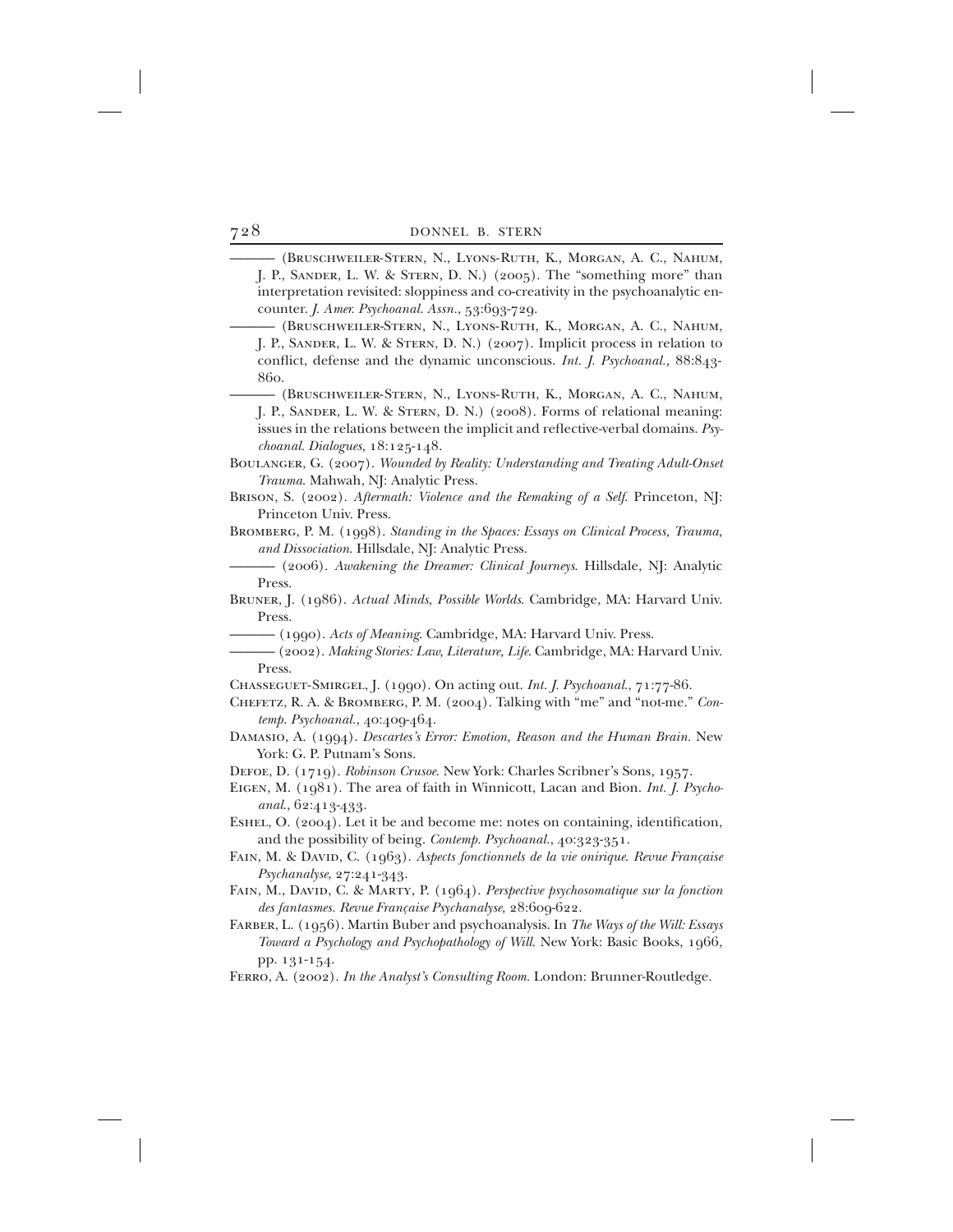- (BRUSCHWEILER-STERN, N., LYONS-RUTH, K., MORGAN, A. C., NAHUM, J. P., Sander, L. W. & Stern, D. N.) (2005). The "something more" than interpretation revisited: sloppiness and co-creativity in the psychoanalytic encounter. *J. Amer. Psychoanal. Assn.*, 53:693-729.
- (BRUSCHWEILER-STERN, N., LYONS-RUTH, K., MORGAN, A. C., NAHUM, J. P., Sander, L. W. & Stern, D. N.) (2007). Implicit process in relation to conflict, defense and the dynamic unconscious. *Int. J. Psychoanal.,* 88:843- 860.
- ———- (Bruschweiler-Stern, N., Lyons-Ruth, K., Morgan, A. C., Nahum, J. P., Sander, L. W. & Stern, D. N.) (2008). Forms of relational meaning: issues in the relations between the implicit and reflective-verbal domains. *Psychoanal. Dialogues,* 18:125-148.
- BOULANGER, G. (2007). *Wounded by Reality: Understanding and Treating Adult-Onset Trauma*. Mahwah, NJ: Analytic Press.
- Brison, S. (2002). *Aftermath: Violence and the Remaking of a Self*. Princeton, NJ: Princeton Univ. Press.
- Bromberg, P. M. (1998). *Standing in the Spaces: Essays on Clinical Process, Trauma, and Dissociation*. Hillsdale, NJ: Analytic Press.
- ———- (2006). *Awakening the Dreamer: Clinical Journeys*. Hillsdale, NJ: Analytic Press.
- Bruner, J. (1986). *Actual Minds, Possible Worlds*. Cambridge, MA: Harvard Univ. Press.
- ———- (1990). *Acts of Meaning*. Cambridge, MA: Harvard Univ. Press.
- ———- (2002). *Making Stories: Law, Literature, Life*. Cambridge, MA: Harvard Univ. Press.
- Chasseguet-Smirgel, J. (1990). On acting out. *Int. J. Psychoanal.*, 71:77-86.
- Chefetz, R. A. & Bromberg, P. M. (2004). Talking with "me" and "not-me." *Contemp. Psychoanal.,* 40:409-464.
- Damasio, A. (1994). *Descartes's Error: Emotion, Reason and the Human Brain.* New York: G. P. Putnam's Sons.
- Defoe, D. (1719). *Robinson Crusoe*. New York: Charles Scribner's Sons, 1957.
- Eigen, M. (1981). The area of faith in Winnicott, Lacan and Bion. *Int. J. Psychoanal*., 62:413-433.
- ESHEL,  $O.$  (2004). Let it be and become me: notes on containing, identification, and the possibility of being. *Contemp. Psychoanal.*, 40:323-351.
- Fain, M. & David, C. (1963). *Aspects fonctionnels de la vie onirique*. *Revue Française Psychanalyse*, 27:241-343.
- FAIN, M., DAVID, C. & MARTY, P. (1964). *Perspective psychosomatique sur la fonction des fantasmes. Revue Française Psychanalyse,* 28:609-622.
- Farber, L. (1956). Martin Buber and psychoanalysis. In *The Ways of the Will: Essays Toward a Psychology and Psychopathology of Will*. New York: Basic Books, 1966, pp. 131-154.
- Ferro, A. (2002). *In the Analyst's Consulting Room.* London: Brunner-Routledge.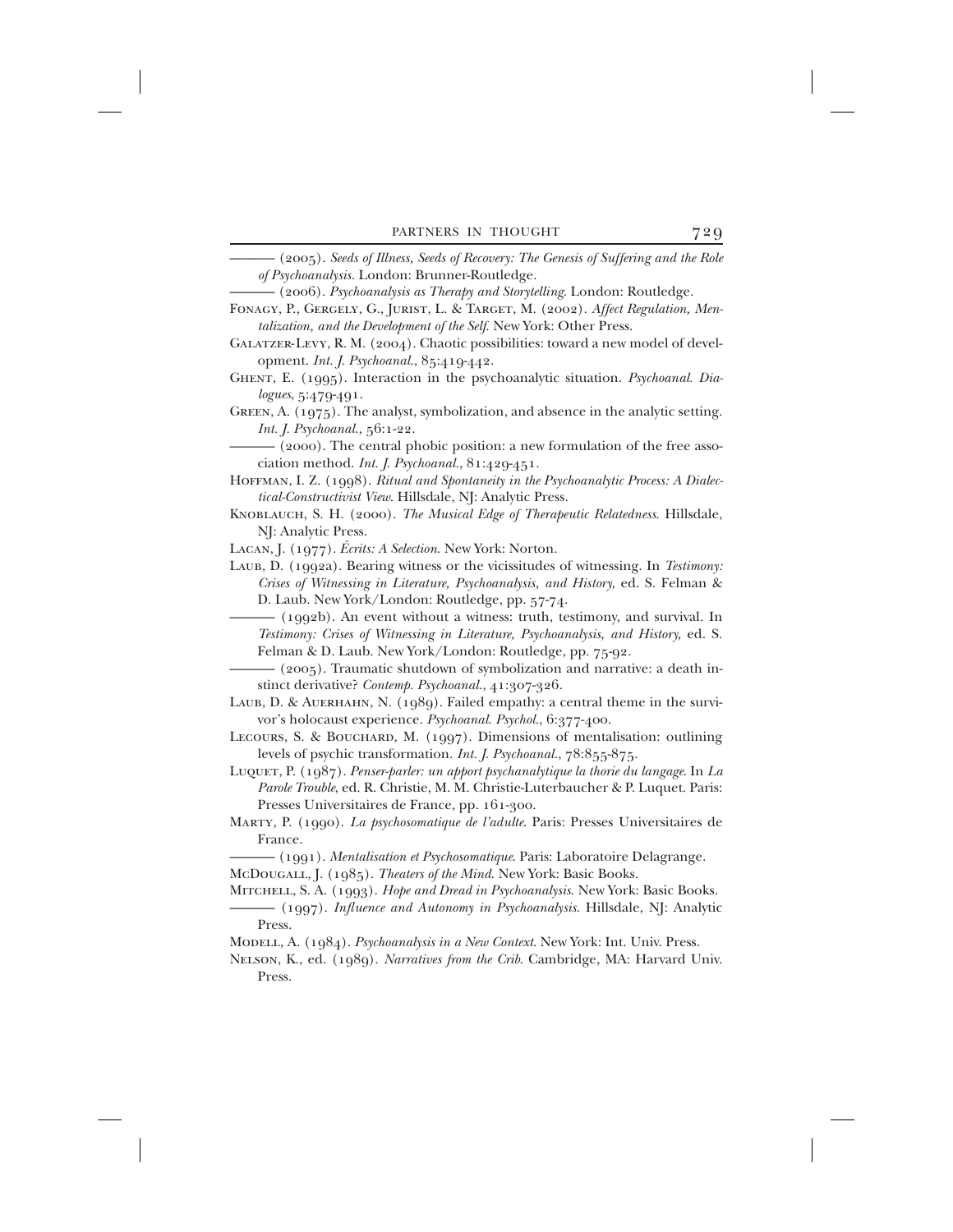- $-$  (2005). *Seeds of Illness, Seeds of Recovery: The Genesis of Suffering and the Role of Psychoanalysis.* London: Brunner-Routledge.
- ———- (2006). *Psychoanalysis as Therapy and Storytelling*. London: Routledge.
- FONAGY, P., GERGELY, G., JURIST, L. & TARGET, M. (2002). Affect Regulation, Men*talization, and the Development of the Self*. New York: Other Press.
- Galatzer-Levy, R. M. (2004). Chaotic possibilities: toward a new model of development. *Int. J. Psychoanal.*, 85:419-442.
- Ghent, E. (1995). Interaction in the psychoanalytic situation. *Psychoanal. Dialogues*, 5:479-491.
- GREEN, A. (1975). The analyst, symbolization, and absence in the analytic setting. *Int. J. Psychoanal.*, 56:1-22.
- ———- (2000). The central phobic position: a new formulation of the free association method. *Int. J. Psychoanal.*, 81:429-451.
- HOFFMAN, I. Z. (1998). *Ritual and Spontaneity in the Psychoanalytic Process: A Dialectical-Constructivist View*. Hillsdale, NJ: Analytic Press.
- Knoblauch, S. H. (2000). *The Musical Edge of Therapeutic Relatedness*. Hillsdale, NJ: Analytic Press.
- Lacan, J. (1977). *Écrits: A Selection*. New York: Norton.
- Laub, D. (1992a). Bearing witness or the vicissitudes of witnessing. In *Testimony: Crises of Witnessing in Literature, Psychoanalysis, and History,* ed. S. Felman & D. Laub. New York/London: Routledge, pp. 57-74.
- $(1992b)$ . An event without a witness: truth, testimony, and survival. In *Testimony: Crises of Witnessing in Literature, Psychoanalysis, and History,* ed. S. Felman & D. Laub. New York/London: Routledge, pp. 75-92.
- $(2005)$ . Traumatic shutdown of symbolization and narrative: a death instinct derivative? *Contemp. Psychoanal.*, 41:307-326.
- LAUB, D. & AUERHAHN, N. (1989). Failed empathy: a central theme in the survivor's holocaust experience. *Psychoanal. Psychol.*, 6:377-400.
- Lecours, S. & Bouchard, M. (1997). Dimensions of mentalisation: outlining levels of psychic transformation. *Int. J. Psychoanal.*, 78:855-875.
- Luquet, P. (1987). *Penser-parler: un apport psychanalytique la thorie du langage*. In *La Parole Trouble*, ed. R. Christie, M. M. Christie-Luterbaucher & P. Luquet. Paris: Presses Universitaires de France, pp. 161-300.
- Marty, P. (1990). *La psychosomatique de l'adulte*. Paris: Presses Universitaires de France.
- ———- (1991). *Mentalisation et Psychosomatique*. Paris: Laboratoire Delagrange.

McDougall, J. (1985). *Theaters of the Mind*. New York: Basic Books.

- Mitchell, S. A. (1993). *Hope and Dread in Psychoanalysis*. New York: Basic Books.
- ———- (1997). *Influence and Autonomy in Psychoanalysis*. Hillsdale, NJ: Analytic Press.
- Modell, A. (1984). *Psychoanalysis in a New Context*. New York: Int. Univ. Press.
- Nelson, K., ed. (1989). *Narratives from the Crib*. Cambridge, MA: Harvard Univ. Press.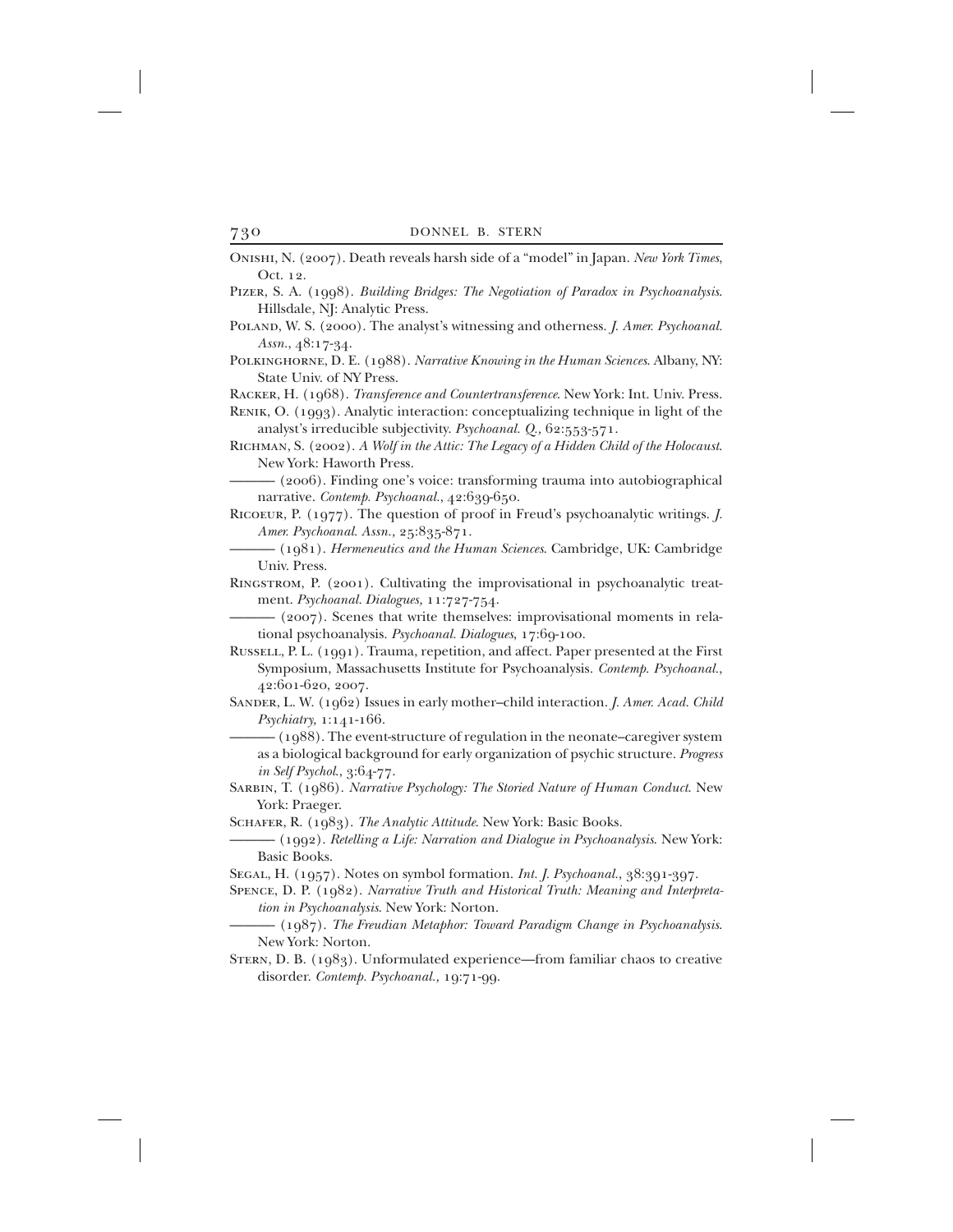- Onishi, N. (2007). Death reveals harsh side of a "model" in Japan. *New York Times*, Oct. 12.
- Pizer, S. A. (1998). *Building Bridges: The Negotiation of Paradox in Psychoanalysis*. Hillsdale, NJ: Analytic Press.
- POLAND, W. S. (2000). The analyst's witnessing and otherness. *J. Amer. Psychoanal. Assn.*, 48:17-34.
- Polkinghorne, D. E. (1988). *Narrative Knowing in the Human Sciences*. Albany, NY: State Univ. of NY Press.

Racker, H. (1968). *Transference and Countertransference*. New York: Int. Univ. Press.

Renik, O. (1993). Analytic interaction: conceptualizing technique in light of the analyst's irreducible subjectivity. *Psychoanal. Q.,* 62:553-571.

- Richman, S. (2002). *A Wolf in the Attic: The Legacy of a Hidden Child of the Holocaust*. New York: Haworth Press.
- $(2006)$ . Finding one's voice: transforming trauma into autobiographical narrative. *Contemp. Psychoanal.*, 42:639-650.
- Ricoeur, P. (1977). The question of proof in Freud's psychoanalytic writings. *J. Amer. Psychoanal. Assn.,* 25:835-871.
- ———- (1981). *Hermeneutics and the Human Sciences*. Cambridge, UK: Cambridge Univ. Press.
- Ringstrom, P. (2001). Cultivating the improvisational in psychoanalytic treatment. *Psychoanal. Dialogues,* 11:727-754.
- (2007). Scenes that write themselves: improvisational moments in relational psychoanalysis. *Psychoanal. Dialogues*, 17:69-100.
- Russell, P. L. (1991). Trauma, repetition, and affect. Paper presented at the First Symposium, Massachusetts Institute for Psychoanalysis. *Contemp. Psychoanal.*, 42:601-620, 2007.
- Sander, L. W. (1962) Issues in early mother–child interaction. *J. Amer. Acad. Child Psychiatry,* 1:141-166.
	- ———- (1988). The event-structure of regulation in the neonate–caregiver system as a biological background for early organization of psychic structure. *Progress in Self Psychol*., 3:64-77.
- Sarbin, T. (1986). *Narrative Psychology: The Storied Nature of Human Conduct*. New York: Praeger.

Schafer, R. (1983). *The Analytic Attitude*. New York: Basic Books.

- ———- (1992). *Retelling a Life: Narration and Dialogue in Psychoanalysis*. New York: Basic Books.
- Segal, H. (1957). Notes on symbol formation. *Int. J. Psychoanal.*, 38:391-397.
- Spence, D. P. (1982). *Narrative Truth and Historical Truth: Meaning and Interpretation in Psychoanalysis*. New York: Norton.

 $- (1987)$ . *The Freudian Metaphor: Toward Paradigm Change in Psychoanalysis.* New York: Norton.

Stern, D. B. (1983). Unformulated experience—from familiar chaos to creative disorder. *Contemp. Psychoanal.,* 19:71-99.